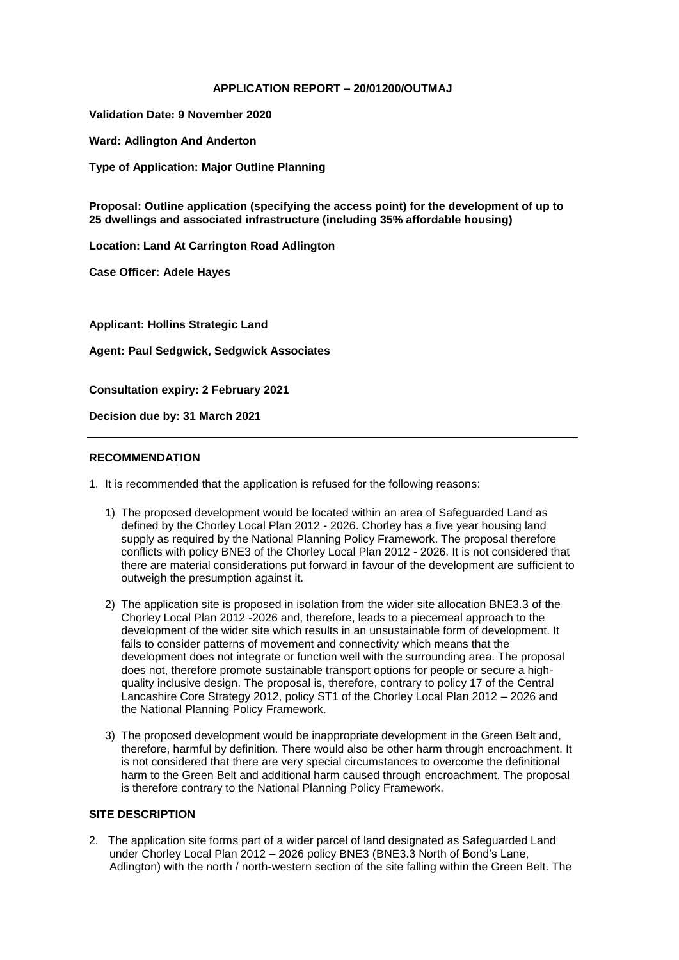### **APPLICATION REPORT – 20/01200/OUTMAJ**

**Validation Date: 9 November 2020**

**Ward: Adlington And Anderton**

**Type of Application: Major Outline Planning**

**Proposal: Outline application (specifying the access point) for the development of up to 25 dwellings and associated infrastructure (including 35% affordable housing)**

**Location: Land At Carrington Road Adlington** 

**Case Officer: Adele Hayes**

**Applicant: Hollins Strategic Land**

**Agent: Paul Sedgwick, Sedgwick Associates**

**Consultation expiry: 2 February 2021**

**Decision due by: 31 March 2021**

#### **RECOMMENDATION**

- 1. It is recommended that the application is refused for the following reasons:
	- 1) The proposed development would be located within an area of Safeguarded Land as defined by the Chorley Local Plan 2012 - 2026. Chorley has a five year housing land supply as required by the National Planning Policy Framework. The proposal therefore conflicts with policy BNE3 of the Chorley Local Plan 2012 - 2026. It is not considered that there are material considerations put forward in favour of the development are sufficient to outweigh the presumption against it.
	- 2) The application site is proposed in isolation from the wider site allocation BNE3.3 of the Chorley Local Plan 2012 -2026 and, therefore, leads to a piecemeal approach to the development of the wider site which results in an unsustainable form of development. It fails to consider patterns of movement and connectivity which means that the development does not integrate or function well with the surrounding area. The proposal does not, therefore promote sustainable transport options for people or secure a highquality inclusive design. The proposal is, therefore, contrary to policy 17 of the Central Lancashire Core Strategy 2012, policy ST1 of the Chorley Local Plan 2012 – 2026 and the National Planning Policy Framework.
	- 3) The proposed development would be inappropriate development in the Green Belt and, therefore, harmful by definition. There would also be other harm through encroachment. It is not considered that there are very special circumstances to overcome the definitional harm to the Green Belt and additional harm caused through encroachment. The proposal is therefore contrary to the National Planning Policy Framework.

#### **SITE DESCRIPTION**

2. The application site forms part of a wider parcel of land designated as Safeguarded Land under Chorley Local Plan 2012 – 2026 policy BNE3 (BNE3.3 North of Bond's Lane, Adlington) with the north / north-western section of the site falling within the Green Belt. The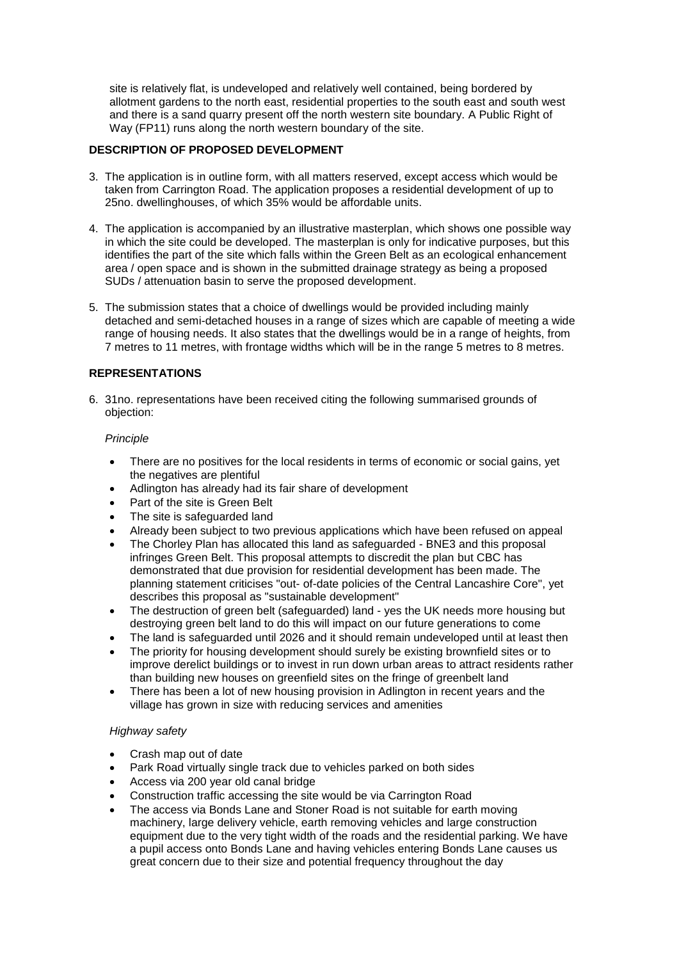site is relatively flat, is undeveloped and relatively well contained, being bordered by allotment gardens to the north east, residential properties to the south east and south west and there is a sand quarry present off the north western site boundary. A Public Right of Way (FP11) runs along the north western boundary of the site.

### **DESCRIPTION OF PROPOSED DEVELOPMENT**

- 3. The application is in outline form, with all matters reserved, except access which would be taken from Carrington Road. The application proposes a residential development of up to 25no. dwellinghouses, of which 35% would be affordable units.
- 4. The application is accompanied by an illustrative masterplan, which shows one possible way in which the site could be developed. The masterplan is only for indicative purposes, but this identifies the part of the site which falls within the Green Belt as an ecological enhancement area / open space and is shown in the submitted drainage strategy as being a proposed SUDs / attenuation basin to serve the proposed development.
- 5. The submission states that a choice of dwellings would be provided including mainly detached and semi-detached houses in a range of sizes which are capable of meeting a wide range of housing needs. It also states that the dwellings would be in a range of heights, from 7 metres to 11 metres, with frontage widths which will be in the range 5 metres to 8 metres.

# **REPRESENTATIONS**

6. 31no. representations have been received citing the following summarised grounds of objection:

### *Principle*

- There are no positives for the local residents in terms of economic or social gains, yet the negatives are plentiful
- Adlington has already had its fair share of development
- Part of the site is Green Belt
- The site is safeguarded land
- Already been subject to two previous applications which have been refused on appeal
- The Chorley Plan has allocated this land as safeguarded BNE3 and this proposal infringes Green Belt. This proposal attempts to discredit the plan but CBC has demonstrated that due provision for residential development has been made. The planning statement criticises "out- of-date policies of the Central Lancashire Core", yet describes this proposal as "sustainable development"
- The destruction of green belt (safeguarded) land yes the UK needs more housing but destroying green belt land to do this will impact on our future generations to come
- The land is safeguarded until 2026 and it should remain undeveloped until at least then
- The priority for housing development should surely be existing brownfield sites or to improve derelict buildings or to invest in run down urban areas to attract residents rather than building new houses on greenfield sites on the fringe of greenbelt land
- There has been a lot of new housing provision in Adlington in recent years and the village has grown in size with reducing services and amenities

### *Highway safety*

- Crash map out of date
- Park Road virtually single track due to vehicles parked on both sides
- Access via 200 year old canal bridge
- Construction traffic accessing the site would be via Carrington Road
- The access via Bonds Lane and Stoner Road is not suitable for earth moving machinery, large delivery vehicle, earth removing vehicles and large construction equipment due to the very tight width of the roads and the residential parking. We have a pupil access onto Bonds Lane and having vehicles entering Bonds Lane causes us great concern due to their size and potential frequency throughout the day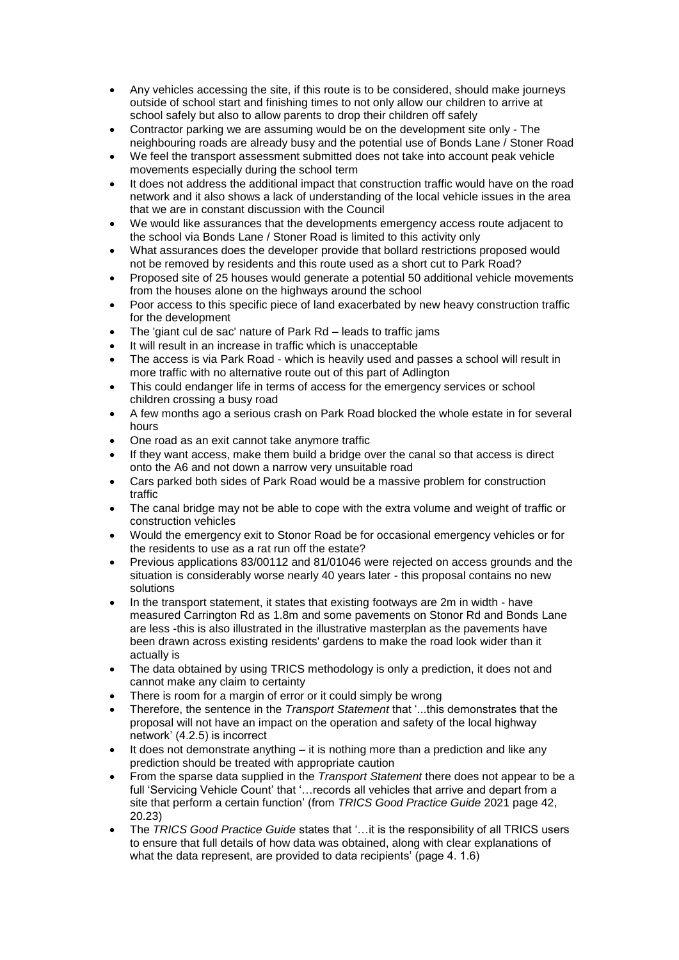- Any vehicles accessing the site, if this route is to be considered, should make journeys outside of school start and finishing times to not only allow our children to arrive at school safely but also to allow parents to drop their children off safely
- Contractor parking we are assuming would be on the development site only The neighbouring roads are already busy and the potential use of Bonds Lane / Stoner Road
- We feel the transport assessment submitted does not take into account peak vehicle movements especially during the school term
- It does not address the additional impact that construction traffic would have on the road network and it also shows a lack of understanding of the local vehicle issues in the area that we are in constant discussion with the Council
- We would like assurances that the developments emergency access route adjacent to the school via Bonds Lane / Stoner Road is limited to this activity only
- What assurances does the developer provide that bollard restrictions proposed would not be removed by residents and this route used as a short cut to Park Road?
- Proposed site of 25 houses would generate a potential 50 additional vehicle movements from the houses alone on the highways around the school
- Poor access to this specific piece of land exacerbated by new heavy construction traffic for the development
- The 'giant cul de sac' nature of Park Rd leads to traffic jams
- It will result in an increase in traffic which is unacceptable
- The access is via Park Road which is heavily used and passes a school will result in more traffic with no alternative route out of this part of Adlington
- This could endanger life in terms of access for the emergency services or school children crossing a busy road
- A few months ago a serious crash on Park Road blocked the whole estate in for several hours
- One road as an exit cannot take anymore traffic
- If they want access, make them build a bridge over the canal so that access is direct onto the A6 and not down a narrow very unsuitable road
- Cars parked both sides of Park Road would be a massive problem for construction traffic
- The canal bridge may not be able to cope with the extra volume and weight of traffic or construction vehicles
- Would the emergency exit to Stonor Road be for occasional emergency vehicles or for the residents to use as a rat run off the estate?
- Previous applications 83/00112 and 81/01046 were rejected on access grounds and the situation is considerably worse nearly 40 years later - this proposal contains no new solutions
- In the transport statement, it states that existing footways are 2m in width have measured Carrington Rd as 1.8m and some pavements on Stonor Rd and Bonds Lane are less -this is also illustrated in the illustrative masterplan as the pavements have been drawn across existing residents' gardens to make the road look wider than it actually is
- The data obtained by using TRICS methodology is only a prediction, it does not and cannot make any claim to certainty
- There is room for a margin of error or it could simply be wrong
- Therefore, the sentence in the *Transport Statement* that '...this demonstrates that the proposal will not have an impact on the operation and safety of the local highway network' (4.2.5) is incorrect
- It does not demonstrate anything it is nothing more than a prediction and like any prediction should be treated with appropriate caution
- From the sparse data supplied in the *Transport Statement* there does not appear to be a full 'Servicing Vehicle Count' that '…records all vehicles that arrive and depart from a site that perform a certain function' (from *TRICS Good Practice Guide* 2021 page 42, 20.23)
- The *TRICS Good Practice Guide* states that '…it is the responsibility of all TRICS users to ensure that full details of how data was obtained, along with clear explanations of what the data represent, are provided to data recipients' (page 4. 1.6)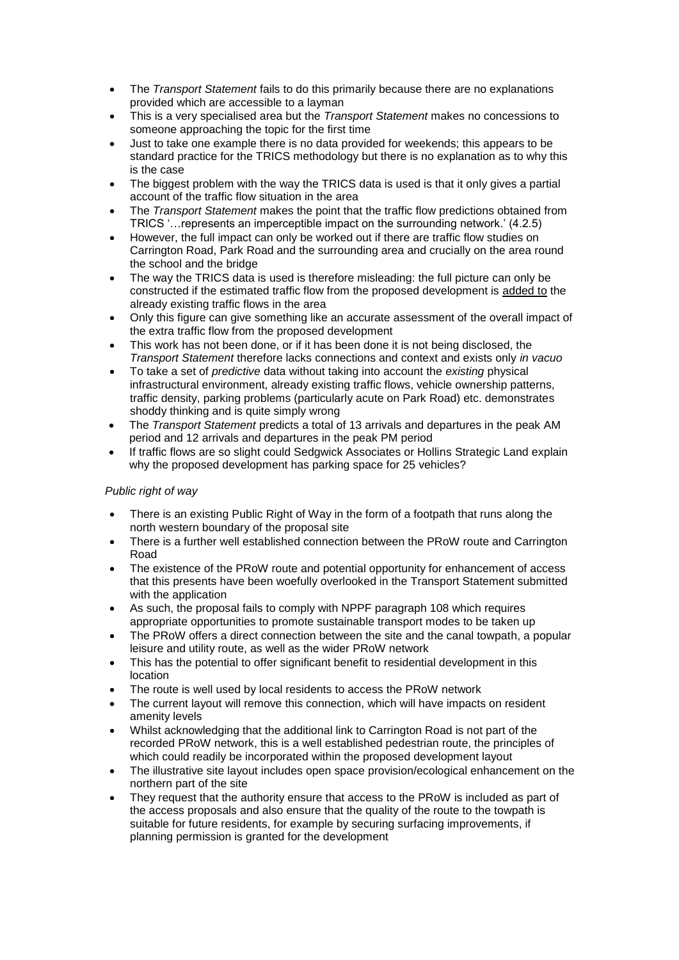- The *Transport Statement* fails to do this primarily because there are no explanations provided which are accessible to a layman
- This is a very specialised area but the *Transport Statement* makes no concessions to someone approaching the topic for the first time
- Just to take one example there is no data provided for weekends; this appears to be standard practice for the TRICS methodology but there is no explanation as to why this is the case
- The biggest problem with the way the TRICS data is used is that it only gives a partial account of the traffic flow situation in the area
- The *Transport Statement* makes the point that the traffic flow predictions obtained from TRICS '…represents an imperceptible impact on the surrounding network.' (4.2.5)
- However, the full impact can only be worked out if there are traffic flow studies on Carrington Road, Park Road and the surrounding area and crucially on the area round the school and the bridge
- The way the TRICS data is used is therefore misleading: the full picture can only be constructed if the estimated traffic flow from the proposed development is added to the already existing traffic flows in the area
- Only this figure can give something like an accurate assessment of the overall impact of the extra traffic flow from the proposed development
- This work has not been done, or if it has been done it is not being disclosed, the *Transport Statement* therefore lacks connections and context and exists only *in vacuo*
- To take a set of *predictive* data without taking into account the *existing* physical infrastructural environment, already existing traffic flows, vehicle ownership patterns, traffic density, parking problems (particularly acute on Park Road) etc. demonstrates shoddy thinking and is quite simply wrong
- The *Transport Statement* predicts a total of 13 arrivals and departures in the peak AM period and 12 arrivals and departures in the peak PM period
- If traffic flows are so slight could Sedgwick Associates or Hollins Strategic Land explain why the proposed development has parking space for 25 vehicles?

# *Public right of way*

- There is an existing Public Right of Way in the form of a footpath that runs along the north western boundary of the proposal site
- There is a further well established connection between the PRoW route and Carrington Road
- The existence of the PRoW route and potential opportunity for enhancement of access that this presents have been woefully overlooked in the Transport Statement submitted with the application
- As such, the proposal fails to comply with NPPF paragraph 108 which requires appropriate opportunities to promote sustainable transport modes to be taken up
- The PRoW offers a direct connection between the site and the canal towpath, a popular leisure and utility route, as well as the wider PRoW network
- This has the potential to offer significant benefit to residential development in this location
- The route is well used by local residents to access the PRoW network
- The current layout will remove this connection, which will have impacts on resident amenity levels
- Whilst acknowledging that the additional link to Carrington Road is not part of the recorded PRoW network, this is a well established pedestrian route, the principles of which could readily be incorporated within the proposed development layout
- The illustrative site layout includes open space provision/ecological enhancement on the northern part of the site
- They request that the authority ensure that access to the PRoW is included as part of the access proposals and also ensure that the quality of the route to the towpath is suitable for future residents, for example by securing surfacing improvements, if planning permission is granted for the development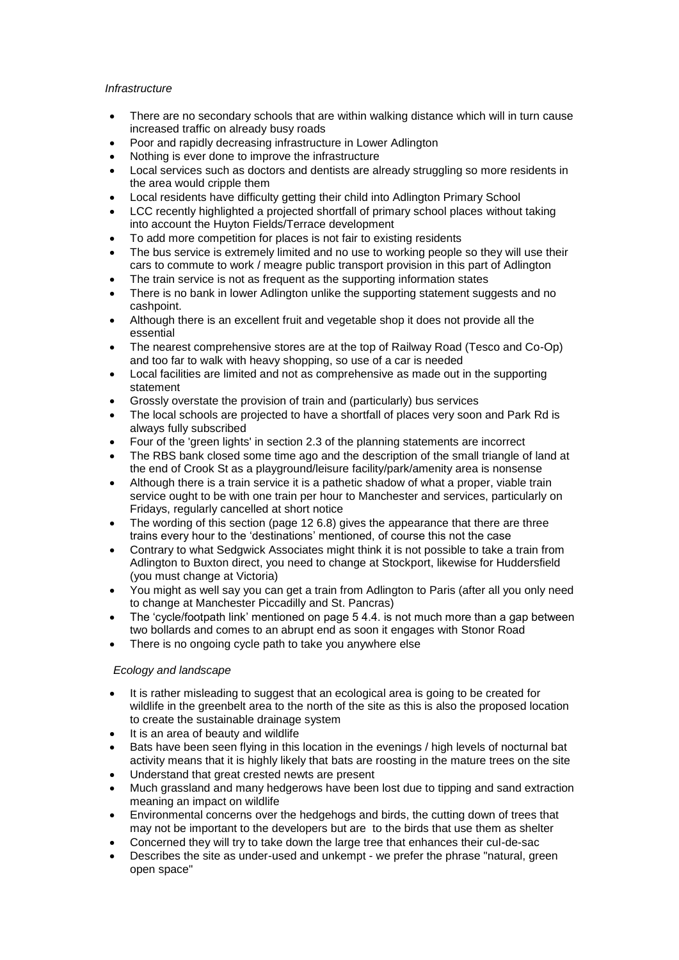# *Infrastructure*

- There are no secondary schools that are within walking distance which will in turn cause increased traffic on already busy roads
- Poor and rapidly decreasing infrastructure in Lower Adlington
- Nothing is ever done to improve the infrastructure
- Local services such as doctors and dentists are already struggling so more residents in the area would cripple them
- Local residents have difficulty getting their child into Adlington Primary School
- LCC recently highlighted a projected shortfall of primary school places without taking into account the Huyton Fields/Terrace development
- To add more competition for places is not fair to existing residents
- The bus service is extremely limited and no use to working people so they will use their cars to commute to work / meagre public transport provision in this part of Adlington
- The train service is not as frequent as the supporting information states
- There is no bank in lower Adlington unlike the supporting statement suggests and no cashpoint.
- Although there is an excellent fruit and vegetable shop it does not provide all the essential
- The nearest comprehensive stores are at the top of Railway Road (Tesco and Co-Op) and too far to walk with heavy shopping, so use of a car is needed
- Local facilities are limited and not as comprehensive as made out in the supporting statement
- Grossly overstate the provision of train and (particularly) bus services
- The local schools are projected to have a shortfall of places very soon and Park Rd is always fully subscribed
- Four of the 'green lights' in section 2.3 of the planning statements are incorrect
- The RBS bank closed some time ago and the description of the small triangle of land at the end of Crook St as a playground/leisure facility/park/amenity area is nonsense
- Although there is a train service it is a pathetic shadow of what a proper, viable train service ought to be with one train per hour to Manchester and services, particularly on Fridays, regularly cancelled at short notice
- The wording of this section (page 12 6.8) gives the appearance that there are three trains every hour to the 'destinations' mentioned, of course this not the case
- Contrary to what Sedgwick Associates might think it is not possible to take a train from Adlington to Buxton direct, you need to change at Stockport, likewise for Huddersfield (you must change at Victoria)
- You might as well say you can get a train from Adlington to Paris (after all you only need to change at Manchester Piccadilly and St. Pancras)
- The 'cycle/footpath link' mentioned on page 5 4.4. is not much more than a gap between two bollards and comes to an abrupt end as soon it engages with Stonor Road
- There is no ongoing cycle path to take you anywhere else

# *Ecology and landscape*

- It is rather misleading to suggest that an ecological area is going to be created for wildlife in the greenbelt area to the north of the site as this is also the proposed location to create the sustainable drainage system
- It is an area of beauty and wildlife
- Bats have been seen flying in this location in the evenings / high levels of nocturnal bat activity means that it is highly likely that bats are roosting in the mature trees on the site
- Understand that great crested newts are present
- Much grassland and many hedgerows have been lost due to tipping and sand extraction meaning an impact on wildlife
- Environmental concerns over the hedgehogs and birds, the cutting down of trees that may not be important to the developers but are to the birds that use them as shelter
- Concerned they will try to take down the large tree that enhances their cul-de-sac
- Describes the site as under-used and unkempt we prefer the phrase "natural, green open space"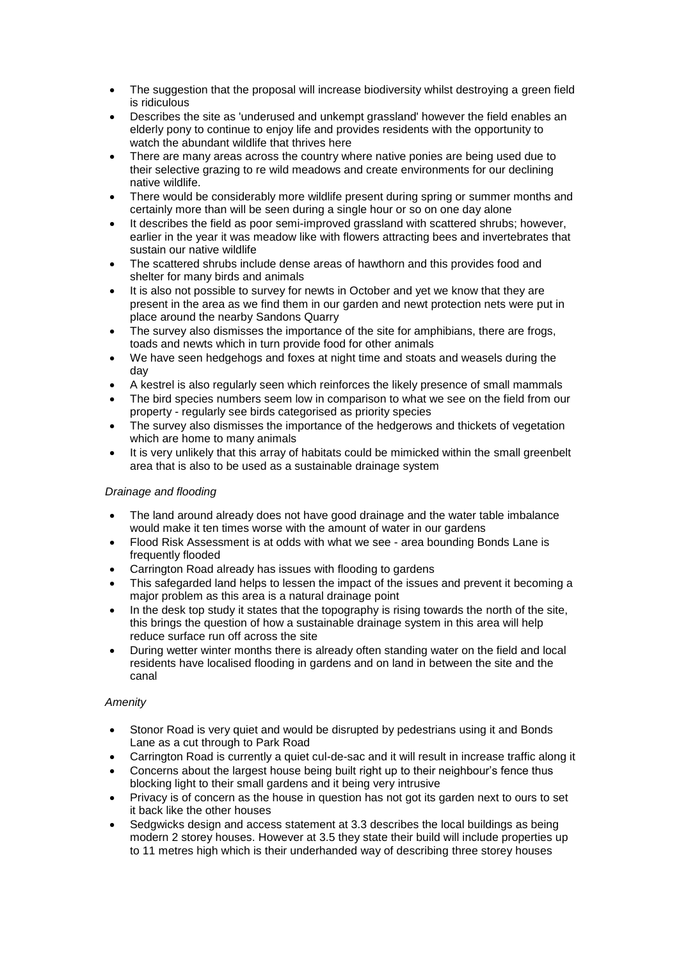- The suggestion that the proposal will increase biodiversity whilst destroying a green field is ridiculous
- Describes the site as 'underused and unkempt grassland' however the field enables an elderly pony to continue to enjoy life and provides residents with the opportunity to watch the abundant wildlife that thrives here
- There are many areas across the country where native ponies are being used due to their selective grazing to re wild meadows and create environments for our declining native wildlife.
- There would be considerably more wildlife present during spring or summer months and certainly more than will be seen during a single hour or so on one day alone
- It describes the field as poor semi-improved grassland with scattered shrubs; however, earlier in the year it was meadow like with flowers attracting bees and invertebrates that sustain our native wildlife
- The scattered shrubs include dense areas of hawthorn and this provides food and shelter for many birds and animals
- It is also not possible to survey for newts in October and yet we know that they are present in the area as we find them in our garden and newt protection nets were put in place around the nearby Sandons Quarry
- The survey also dismisses the importance of the site for amphibians, there are frogs, toads and newts which in turn provide food for other animals
- We have seen hedgehogs and foxes at night time and stoats and weasels during the day
- A kestrel is also regularly seen which reinforces the likely presence of small mammals
- The bird species numbers seem low in comparison to what we see on the field from our property - regularly see birds categorised as priority species
- The survey also dismisses the importance of the hedgerows and thickets of vegetation which are home to many animals
- It is very unlikely that this array of habitats could be mimicked within the small greenbelt area that is also to be used as a sustainable drainage system

# *Drainage and flooding*

- The land around already does not have good drainage and the water table imbalance would make it ten times worse with the amount of water in our gardens
- Flood Risk Assessment is at odds with what we see area bounding Bonds Lane is frequently flooded
- Carrington Road already has issues with flooding to gardens
- This safegarded land helps to lessen the impact of the issues and prevent it becoming a major problem as this area is a natural drainage point
- In the desk top study it states that the topography is rising towards the north of the site, this brings the question of how a sustainable drainage system in this area will help reduce surface run off across the site
- During wetter winter months there is already often standing water on the field and local residents have localised flooding in gardens and on land in between the site and the canal

# *Amenity*

- Stonor Road is very quiet and would be disrupted by pedestrians using it and Bonds Lane as a cut through to Park Road
- Carrington Road is currently a quiet cul-de-sac and it will result in increase traffic along it
- Concerns about the largest house being built right up to their neighbour's fence thus blocking light to their small gardens and it being very intrusive
- Privacy is of concern as the house in question has not got its garden next to ours to set it back like the other houses
- Sedgwicks design and access statement at 3.3 describes the local buildings as being modern 2 storey houses. However at 3.5 they state their build will include properties up to 11 metres high which is their underhanded way of describing three storey houses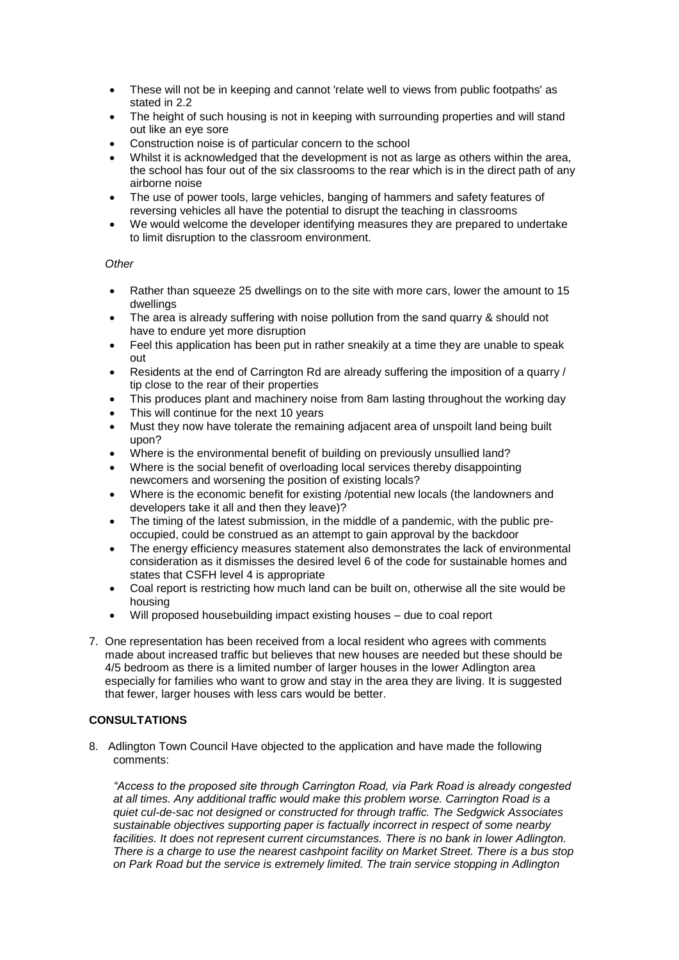- These will not be in keeping and cannot 'relate well to views from public footpaths' as stated in 2.2
- The height of such housing is not in keeping with surrounding properties and will stand out like an eye sore
- Construction noise is of particular concern to the school
- Whilst it is acknowledged that the development is not as large as others within the area. the school has four out of the six classrooms to the rear which is in the direct path of any airborne noise
- The use of power tools, large vehicles, banging of hammers and safety features of reversing vehicles all have the potential to disrupt the teaching in classrooms
- We would welcome the developer identifying measures they are prepared to undertake to limit disruption to the classroom environment.

# *Other*

- Rather than squeeze 25 dwellings on to the site with more cars, lower the amount to 15 dwellings
- The area is already suffering with noise pollution from the sand quarry & should not have to endure yet more disruption
- Feel this application has been put in rather sneakily at a time they are unable to speak out
- Residents at the end of Carrington Rd are already suffering the imposition of a quarry / tip close to the rear of their properties
- This produces plant and machinery noise from 8am lasting throughout the working day
- This will continue for the next 10 years
- Must they now have tolerate the remaining adjacent area of unspoilt land being built upon?
- Where is the environmental benefit of building on previously unsullied land?
- Where is the social benefit of overloading local services thereby disappointing newcomers and worsening the position of existing locals?
- Where is the economic benefit for existing /potential new locals (the landowners and developers take it all and then they leave)?
- The timing of the latest submission, in the middle of a pandemic, with the public preoccupied, could be construed as an attempt to gain approval by the backdoor
- The energy efficiency measures statement also demonstrates the lack of environmental consideration as it dismisses the desired level 6 of the code for sustainable homes and states that CSFH level 4 is appropriate
- Coal report is restricting how much land can be built on, otherwise all the site would be housing
- Will proposed housebuilding impact existing houses due to coal report
- 7. One representation has been received from a local resident who agrees with comments made about increased traffic but believes that new houses are needed but these should be 4/5 bedroom as there is a limited number of larger houses in the lower Adlington area especially for families who want to grow and stay in the area they are living. It is suggested that fewer, larger houses with less cars would be better.

# **CONSULTATIONS**

8. Adlington Town Council Have objected to the application and have made the following comments:

*"Access to the proposed site through Carrington Road, via Park Road is already congested at all times. Any additional traffic would make this problem worse. Carrington Road is a quiet cul-de-sac not designed or constructed for through traffic. The Sedgwick Associates sustainable objectives supporting paper is factually incorrect in respect of some nearby*  facilities. It does not represent current circumstances. There is no bank in lower Adlington. *There is a charge to use the nearest cashpoint facility on Market Street. There is a bus stop on Park Road but the service is extremely limited. The train service stopping in Adlington*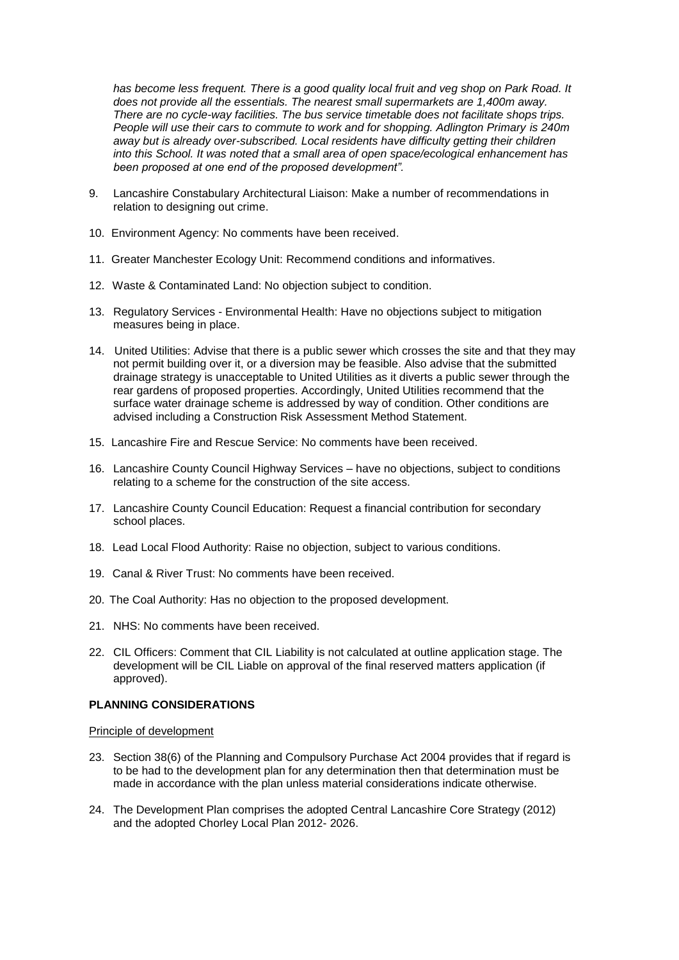*has become less frequent. There is a good quality local fruit and veg shop on Park Road. It does not provide all the essentials. The nearest small supermarkets are 1,400m away. There are no cycle-way facilities. The bus service timetable does not facilitate shops trips. People will use their cars to commute to work and for shopping. Adlington Primary is 240m away but is already over-subscribed. Local residents have difficulty getting their children into this School. It was noted that a small area of open space/ecological enhancement has been proposed at one end of the proposed development".*

- 9. Lancashire Constabulary Architectural Liaison: Make a number of recommendations in relation to designing out crime.
- 10. Environment Agency: No comments have been received.
- 11. Greater Manchester Ecology Unit: Recommend conditions and informatives.
- 12. Waste & Contaminated Land: No objection subject to condition.
- 13. Regulatory Services Environmental Health: Have no objections subject to mitigation measures being in place.
- 14. United Utilities: Advise that there is a public sewer which crosses the site and that they may not permit building over it, or a diversion may be feasible. Also advise that the submitted drainage strategy is unacceptable to United Utilities as it diverts a public sewer through the rear gardens of proposed properties. Accordingly, United Utilities recommend that the surface water drainage scheme is addressed by way of condition. Other conditions are advised including a Construction Risk Assessment Method Statement.
- 15. Lancashire Fire and Rescue Service: No comments have been received.
- 16. Lancashire County Council Highway Services have no objections, subject to conditions relating to a scheme for the construction of the site access.
- 17. Lancashire County Council Education: Request a financial contribution for secondary school places.
- 18. Lead Local Flood Authority: Raise no objection, subject to various conditions.
- 19. Canal & River Trust: No comments have been received.
- 20. The Coal Authority: Has no objection to the proposed development.
- 21. NHS: No comments have been received.
- 22. CIL Officers: Comment that CIL Liability is not calculated at outline application stage. The development will be CIL Liable on approval of the final reserved matters application (if approved).

# **PLANNING CONSIDERATIONS**

### Principle of development

- 23. Section 38(6) of the Planning and Compulsory Purchase Act 2004 provides that if regard is to be had to the development plan for any determination then that determination must be made in accordance with the plan unless material considerations indicate otherwise.
- 24. The Development Plan comprises the adopted Central Lancashire Core Strategy (2012) and the adopted Chorley Local Plan 2012- 2026.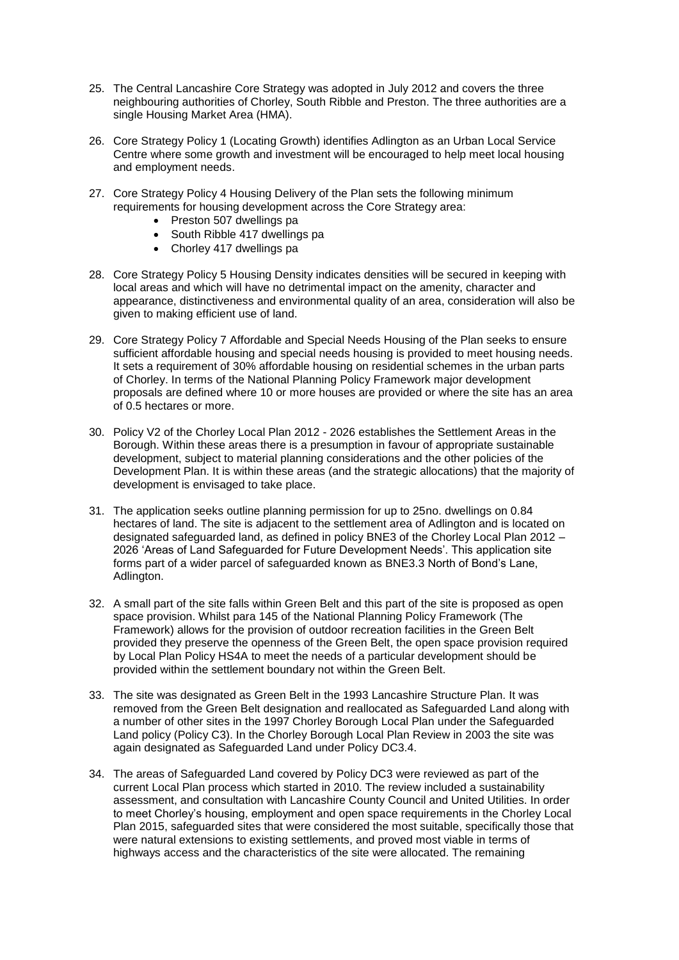- 25. The Central Lancashire Core Strategy was adopted in July 2012 and covers the three neighbouring authorities of Chorley, South Ribble and Preston. The three authorities are a single Housing Market Area (HMA).
- 26. Core Strategy Policy 1 (Locating Growth) identifies Adlington as an Urban Local Service Centre where some growth and investment will be encouraged to help meet local housing and employment needs.
- 27. Core Strategy Policy 4 Housing Delivery of the Plan sets the following minimum requirements for housing development across the Core Strategy area:
	- Preston 507 dwellings pa
	- South Ribble 417 dwellings pa
	- Chorley 417 dwellings pa
- 28. Core Strategy Policy 5 Housing Density indicates densities will be secured in keeping with local areas and which will have no detrimental impact on the amenity, character and appearance, distinctiveness and environmental quality of an area, consideration will also be given to making efficient use of land.
- 29. Core Strategy Policy 7 Affordable and Special Needs Housing of the Plan seeks to ensure sufficient affordable housing and special needs housing is provided to meet housing needs. It sets a requirement of 30% affordable housing on residential schemes in the urban parts of Chorley. In terms of the National Planning Policy Framework major development proposals are defined where 10 or more houses are provided or where the site has an area of 0.5 hectares or more.
- 30. Policy V2 of the Chorley Local Plan 2012 2026 establishes the Settlement Areas in the Borough. Within these areas there is a presumption in favour of appropriate sustainable development, subject to material planning considerations and the other policies of the Development Plan. It is within these areas (and the strategic allocations) that the majority of development is envisaged to take place.
- 31. The application seeks outline planning permission for up to 25no. dwellings on 0.84 hectares of land. The site is adjacent to the settlement area of Adlington and is located on designated safeguarded land, as defined in policy BNE3 of the Chorley Local Plan 2012 – 2026 'Areas of Land Safeguarded for Future Development Needs'. This application site forms part of a wider parcel of safeguarded known as BNE3.3 North of Bond's Lane, Adlington.
- 32. A small part of the site falls within Green Belt and this part of the site is proposed as open space provision. Whilst para 145 of the National Planning Policy Framework (The Framework) allows for the provision of outdoor recreation facilities in the Green Belt provided they preserve the openness of the Green Belt, the open space provision required by Local Plan Policy HS4A to meet the needs of a particular development should be provided within the settlement boundary not within the Green Belt.
- 33. The site was designated as Green Belt in the 1993 Lancashire Structure Plan. It was removed from the Green Belt designation and reallocated as Safeguarded Land along with a number of other sites in the 1997 Chorley Borough Local Plan under the Safeguarded Land policy (Policy C3). In the Chorley Borough Local Plan Review in 2003 the site was again designated as Safeguarded Land under Policy DC3.4.
- 34. The areas of Safeguarded Land covered by Policy DC3 were reviewed as part of the current Local Plan process which started in 2010. The review included a sustainability assessment, and consultation with Lancashire County Council and United Utilities. In order to meet Chorley's housing, employment and open space requirements in the Chorley Local Plan 2015, safeguarded sites that were considered the most suitable, specifically those that were natural extensions to existing settlements, and proved most viable in terms of highways access and the characteristics of the site were allocated. The remaining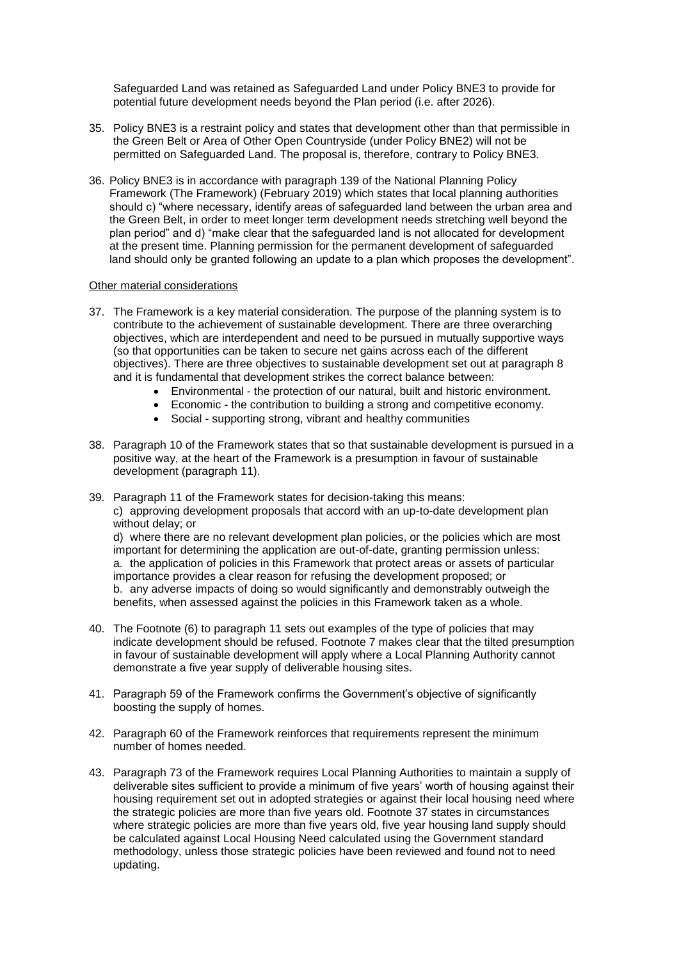Safeguarded Land was retained as Safeguarded Land under Policy BNE3 to provide for potential future development needs beyond the Plan period (i.e. after 2026).

- 35. Policy BNE3 is a restraint policy and states that development other than that permissible in the Green Belt or Area of Other Open Countryside (under Policy BNE2) will not be permitted on Safeguarded Land. The proposal is, therefore, contrary to Policy BNE3.
- 36. Policy BNE3 is in accordance with paragraph 139 of the National Planning Policy Framework (The Framework) (February 2019) which states that local planning authorities should c) "where necessary, identify areas of safeguarded land between the urban area and the Green Belt, in order to meet longer term development needs stretching well beyond the plan period" and d) "make clear that the safeguarded land is not allocated for development at the present time. Planning permission for the permanent development of safeguarded land should only be granted following an update to a plan which proposes the development".

### Other material considerations

- 37. The Framework is a key material consideration. The purpose of the planning system is to contribute to the achievement of sustainable development. There are three overarching objectives, which are interdependent and need to be pursued in mutually supportive ways (so that opportunities can be taken to secure net gains across each of the different objectives). There are three objectives to sustainable development set out at paragraph 8 and it is fundamental that development strikes the correct balance between:
	- Environmental the protection of our natural, built and historic environment.
	- Economic the contribution to building a strong and competitive economy.
	- Social supporting strong, vibrant and healthy communities
- 38. Paragraph 10 of the Framework states that so that sustainable development is pursued in a positive way, at the heart of the Framework is a presumption in favour of sustainable development (paragraph 11).
- 39. Paragraph 11 of the Framework states for decision-taking this means: c) approving development proposals that accord with an up-to-date development plan without delay; or

d) where there are no relevant development plan policies, or the policies which are most important for determining the application are out-of-date, granting permission unless: a. the application of policies in this Framework that protect areas or assets of particular importance provides a clear reason for refusing the development proposed; or b. any adverse impacts of doing so would significantly and demonstrably outweigh the benefits, when assessed against the policies in this Framework taken as a whole.

- 40. The Footnote (6) to paragraph 11 sets out examples of the type of policies that may indicate development should be refused. Footnote 7 makes clear that the tilted presumption in favour of sustainable development will apply where a Local Planning Authority cannot demonstrate a five year supply of deliverable housing sites.
- 41. Paragraph 59 of the Framework confirms the Government's objective of significantly boosting the supply of homes.
- 42. Paragraph 60 of the Framework reinforces that requirements represent the minimum number of homes needed.
- 43. Paragraph 73 of the Framework requires Local Planning Authorities to maintain a supply of deliverable sites sufficient to provide a minimum of five years' worth of housing against their housing requirement set out in adopted strategies or against their local housing need where the strategic policies are more than five years old. Footnote 37 states in circumstances where strategic policies are more than five years old, five year housing land supply should be calculated against Local Housing Need calculated using the Government standard methodology, unless those strategic policies have been reviewed and found not to need updating.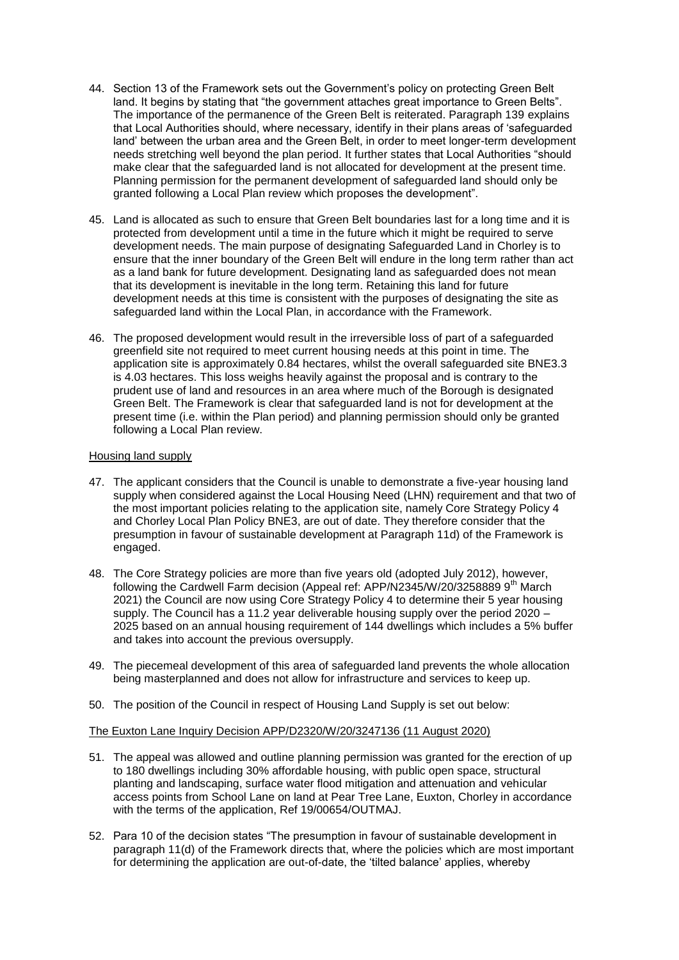- 44. Section 13 of the Framework sets out the Government's policy on protecting Green Belt land. It begins by stating that "the government attaches great importance to Green Belts". The importance of the permanence of the Green Belt is reiterated. Paragraph 139 explains that Local Authorities should, where necessary, identify in their plans areas of 'safeguarded land' between the urban area and the Green Belt, in order to meet longer-term development needs stretching well beyond the plan period. It further states that Local Authorities "should make clear that the safeguarded land is not allocated for development at the present time. Planning permission for the permanent development of safeguarded land should only be granted following a Local Plan review which proposes the development".
- 45. Land is allocated as such to ensure that Green Belt boundaries last for a long time and it is protected from development until a time in the future which it might be required to serve development needs. The main purpose of designating Safeguarded Land in Chorley is to ensure that the inner boundary of the Green Belt will endure in the long term rather than act as a land bank for future development. Designating land as safeguarded does not mean that its development is inevitable in the long term. Retaining this land for future development needs at this time is consistent with the purposes of designating the site as safeguarded land within the Local Plan, in accordance with the Framework.
- 46. The proposed development would result in the irreversible loss of part of a safeguarded greenfield site not required to meet current housing needs at this point in time. The application site is approximately 0.84 hectares, whilst the overall safeguarded site BNE3.3 is 4.03 hectares. This loss weighs heavily against the proposal and is contrary to the prudent use of land and resources in an area where much of the Borough is designated Green Belt. The Framework is clear that safeguarded land is not for development at the present time (i.e. within the Plan period) and planning permission should only be granted following a Local Plan review.

### Housing land supply

- 47. The applicant considers that the Council is unable to demonstrate a five-year housing land supply when considered against the Local Housing Need (LHN) requirement and that two of the most important policies relating to the application site, namely Core Strategy Policy 4 and Chorley Local Plan Policy BNE3, are out of date. They therefore consider that the presumption in favour of sustainable development at Paragraph 11d) of the Framework is engaged.
- 48. The Core Strategy policies are more than five years old (adopted July 2012), however, following the Cardwell Farm decision (Appeal ref: APP/N2345/W/20/3258889 9<sup>th</sup> March 2021) the Council are now using Core Strategy Policy 4 to determine their 5 year housing supply. The Council has a 11.2 year deliverable housing supply over the period 2020 – 2025 based on an annual housing requirement of 144 dwellings which includes a 5% buffer and takes into account the previous oversupply.
- 49. The piecemeal development of this area of safeguarded land prevents the whole allocation being masterplanned and does not allow for infrastructure and services to keep up.
- 50. The position of the Council in respect of Housing Land Supply is set out below:

### The Euxton Lane Inquiry Decision APP/D2320/W/20/3247136 (11 August 2020)

- 51. The appeal was allowed and outline planning permission was granted for the erection of up to 180 dwellings including 30% affordable housing, with public open space, structural planting and landscaping, surface water flood mitigation and attenuation and vehicular access points from School Lane on land at Pear Tree Lane, Euxton, Chorley in accordance with the terms of the application, Ref 19/00654/OUTMAJ.
- 52. Para 10 of the decision states "The presumption in favour of sustainable development in paragraph 11(d) of the Framework directs that, where the policies which are most important for determining the application are out-of-date, the 'tilted balance' applies, whereby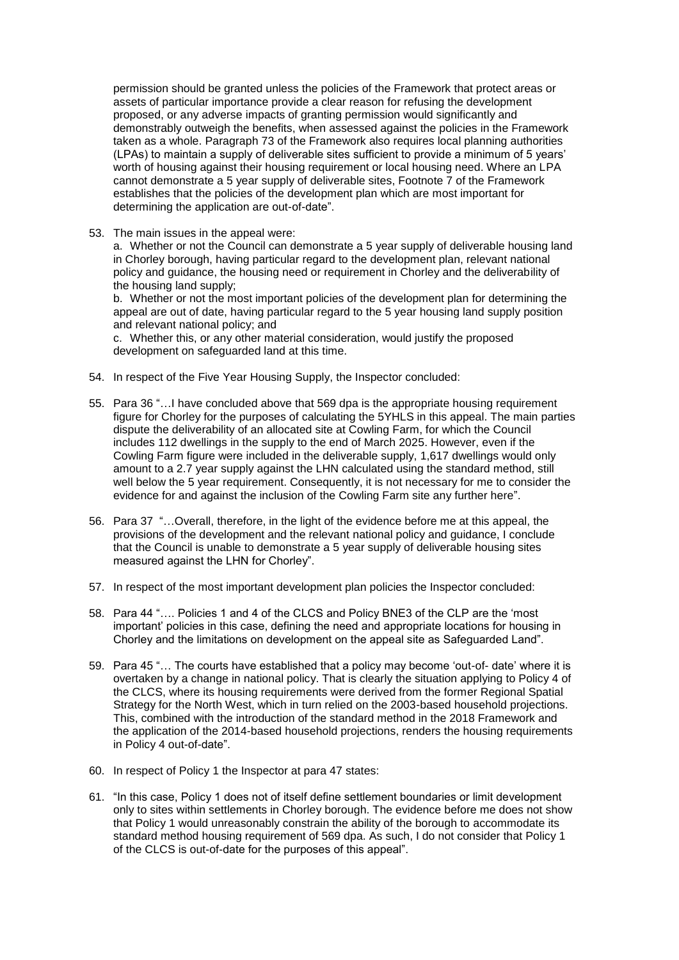permission should be granted unless the policies of the Framework that protect areas or assets of particular importance provide a clear reason for refusing the development proposed, or any adverse impacts of granting permission would significantly and demonstrably outweigh the benefits, when assessed against the policies in the Framework taken as a whole. Paragraph 73 of the Framework also requires local planning authorities (LPAs) to maintain a supply of deliverable sites sufficient to provide a minimum of 5 years' worth of housing against their housing requirement or local housing need. Where an LPA cannot demonstrate a 5 year supply of deliverable sites, Footnote 7 of the Framework establishes that the policies of the development plan which are most important for determining the application are out-of-date".

53. The main issues in the appeal were:

a. Whether or not the Council can demonstrate a 5 year supply of deliverable housing land in Chorley borough, having particular regard to the development plan, relevant national policy and guidance, the housing need or requirement in Chorley and the deliverability of the housing land supply;

b. Whether or not the most important policies of the development plan for determining the appeal are out of date, having particular regard to the 5 year housing land supply position and relevant national policy; and

c. Whether this, or any other material consideration, would justify the proposed development on safeguarded land at this time.

- 54. In respect of the Five Year Housing Supply, the Inspector concluded:
- 55. Para 36 "…I have concluded above that 569 dpa is the appropriate housing requirement figure for Chorley for the purposes of calculating the 5YHLS in this appeal. The main parties dispute the deliverability of an allocated site at Cowling Farm, for which the Council includes 112 dwellings in the supply to the end of March 2025. However, even if the Cowling Farm figure were included in the deliverable supply, 1,617 dwellings would only amount to a 2.7 year supply against the LHN calculated using the standard method, still well below the 5 year requirement. Consequently, it is not necessary for me to consider the evidence for and against the inclusion of the Cowling Farm site any further here".
- 56. Para 37 "…Overall, therefore, in the light of the evidence before me at this appeal, the provisions of the development and the relevant national policy and guidance, I conclude that the Council is unable to demonstrate a 5 year supply of deliverable housing sites measured against the LHN for Chorley".
- 57. In respect of the most important development plan policies the Inspector concluded:
- 58. Para 44 "…. Policies 1 and 4 of the CLCS and Policy BNE3 of the CLP are the 'most important' policies in this case, defining the need and appropriate locations for housing in Chorley and the limitations on development on the appeal site as Safeguarded Land".
- 59. Para 45 "… The courts have established that a policy may become 'out-of- date' where it is overtaken by a change in national policy. That is clearly the situation applying to Policy 4 of the CLCS, where its housing requirements were derived from the former Regional Spatial Strategy for the North West, which in turn relied on the 2003-based household projections. This, combined with the introduction of the standard method in the 2018 Framework and the application of the 2014-based household projections, renders the housing requirements in Policy 4 out-of-date".
- 60. In respect of Policy 1 the Inspector at para 47 states:
- 61. "In this case, Policy 1 does not of itself define settlement boundaries or limit development only to sites within settlements in Chorley borough. The evidence before me does not show that Policy 1 would unreasonably constrain the ability of the borough to accommodate its standard method housing requirement of 569 dpa. As such, I do not consider that Policy 1 of the CLCS is out-of-date for the purposes of this appeal".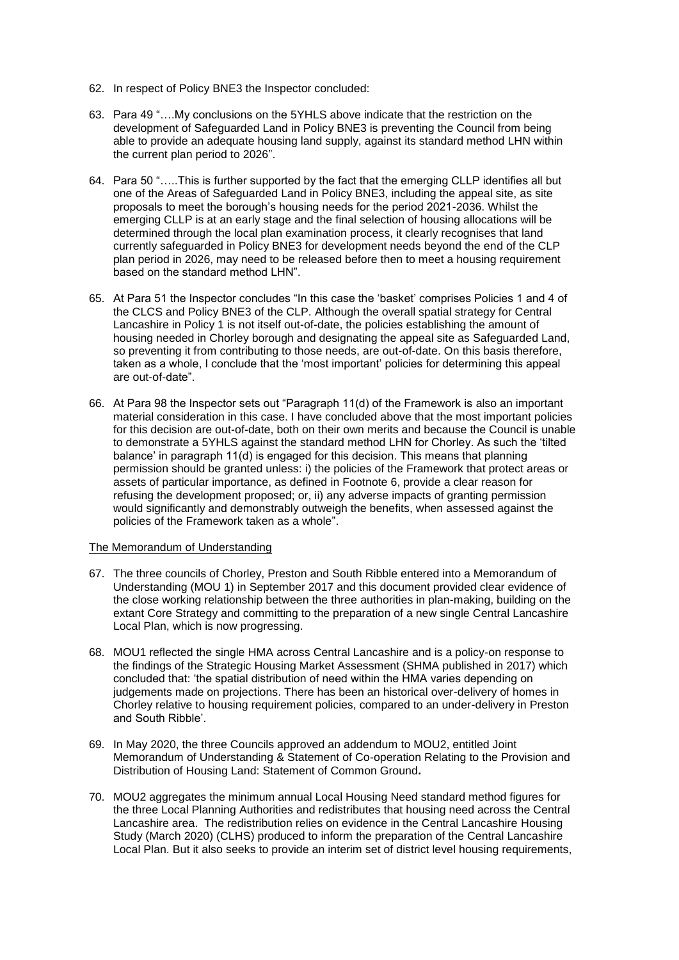- 62. In respect of Policy BNE3 the Inspector concluded:
- 63. Para 49 "….My conclusions on the 5YHLS above indicate that the restriction on the development of Safeguarded Land in Policy BNE3 is preventing the Council from being able to provide an adequate housing land supply, against its standard method LHN within the current plan period to 2026".
- 64. Para 50 "…..This is further supported by the fact that the emerging CLLP identifies all but one of the Areas of Safeguarded Land in Policy BNE3, including the appeal site, as site proposals to meet the borough's housing needs for the period 2021-2036. Whilst the emerging CLLP is at an early stage and the final selection of housing allocations will be determined through the local plan examination process, it clearly recognises that land currently safeguarded in Policy BNE3 for development needs beyond the end of the CLP plan period in 2026, may need to be released before then to meet a housing requirement based on the standard method LHN".
- 65. At Para 51 the Inspector concludes "In this case the 'basket' comprises Policies 1 and 4 of the CLCS and Policy BNE3 of the CLP. Although the overall spatial strategy for Central Lancashire in Policy 1 is not itself out-of-date, the policies establishing the amount of housing needed in Chorley borough and designating the appeal site as Safeguarded Land, so preventing it from contributing to those needs, are out-of-date. On this basis therefore, taken as a whole, I conclude that the 'most important' policies for determining this appeal are out-of-date".
- 66. At Para 98 the Inspector sets out "Paragraph 11(d) of the Framework is also an important material consideration in this case. I have concluded above that the most important policies for this decision are out-of-date, both on their own merits and because the Council is unable to demonstrate a 5YHLS against the standard method LHN for Chorley. As such the 'tilted balance' in paragraph 11(d) is engaged for this decision. This means that planning permission should be granted unless: i) the policies of the Framework that protect areas or assets of particular importance, as defined in Footnote 6, provide a clear reason for refusing the development proposed; or, ii) any adverse impacts of granting permission would significantly and demonstrably outweigh the benefits, when assessed against the policies of the Framework taken as a whole".

### The Memorandum of Understanding

- 67. The three councils of Chorley, Preston and South Ribble entered into a Memorandum of Understanding (MOU 1) in September 2017 and this document provided clear evidence of the close working relationship between the three authorities in plan-making, building on the extant Core Strategy and committing to the preparation of a new single Central Lancashire Local Plan, which is now progressing.
- 68. MOU1 reflected the single HMA across Central Lancashire and is a policy-on response to the findings of the Strategic Housing Market Assessment (SHMA published in 2017) which concluded that: 'the spatial distribution of need within the HMA varies depending on judgements made on projections. There has been an historical over-delivery of homes in Chorley relative to housing requirement policies, compared to an under-delivery in Preston and South Ribble'.
- 69. In May 2020, the three Councils approved an addendum to MOU2, entitled Joint Memorandum of Understanding & Statement of Co-operation Relating to the Provision and Distribution of Housing Land: Statement of Common Ground**.**
- 70. MOU2 aggregates the minimum annual Local Housing Need standard method figures for the three Local Planning Authorities and redistributes that housing need across the Central Lancashire area. The redistribution relies on evidence in the Central Lancashire Housing Study (March 2020) (CLHS) produced to inform the preparation of the Central Lancashire Local Plan. But it also seeks to provide an interim set of district level housing requirements,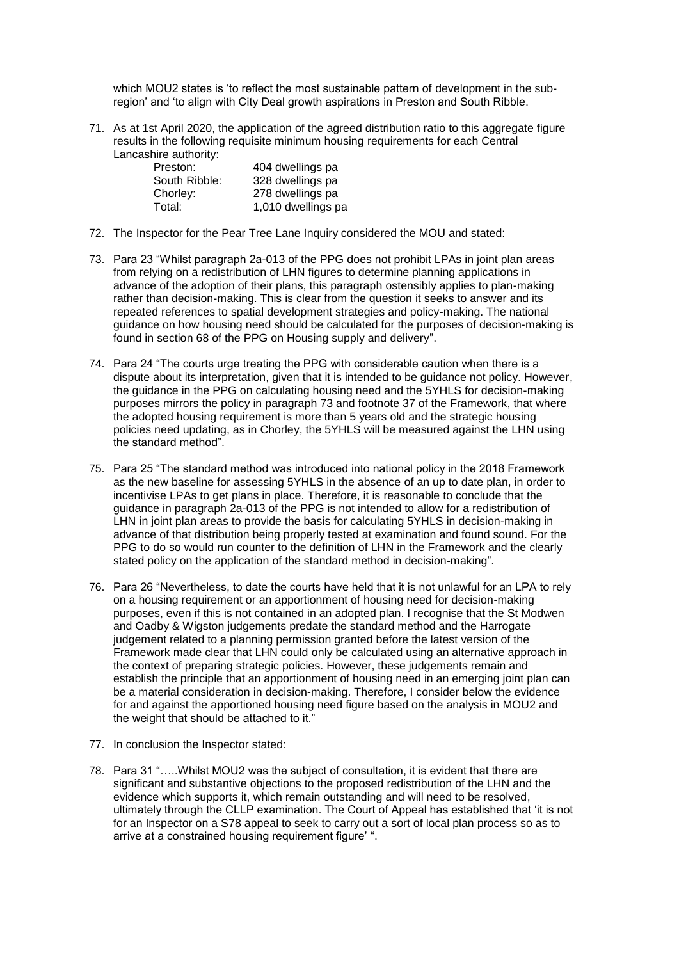which MOU2 states is 'to reflect the most sustainable pattern of development in the subregion' and 'to align with City Deal growth aspirations in Preston and South Ribble.

71. As at 1st April 2020, the application of the agreed distribution ratio to this aggregate figure results in the following requisite minimum housing requirements for each Central Lancashire authority:

| Preston:      | 404 dwellings pa   |
|---------------|--------------------|
| South Ribble: | 328 dwellings pa   |
| Chorley:      | 278 dwellings pa   |
| Total:        | 1,010 dwellings pa |

- 72. The Inspector for the Pear Tree Lane Inquiry considered the MOU and stated:
- 73. Para 23 "Whilst paragraph 2a-013 of the PPG does not prohibit LPAs in joint plan areas from relying on a redistribution of LHN figures to determine planning applications in advance of the adoption of their plans, this paragraph ostensibly applies to plan-making rather than decision-making. This is clear from the question it seeks to answer and its repeated references to spatial development strategies and policy-making. The national guidance on how housing need should be calculated for the purposes of decision-making is found in section 68 of the PPG on Housing supply and delivery".
- 74. Para 24 "The courts urge treating the PPG with considerable caution when there is a dispute about its interpretation, given that it is intended to be guidance not policy. However, the guidance in the PPG on calculating housing need and the 5YHLS for decision-making purposes mirrors the policy in paragraph 73 and footnote 37 of the Framework, that where the adopted housing requirement is more than 5 years old and the strategic housing policies need updating, as in Chorley, the 5YHLS will be measured against the LHN using the standard method".
- 75. Para 25 "The standard method was introduced into national policy in the 2018 Framework as the new baseline for assessing 5YHLS in the absence of an up to date plan, in order to incentivise LPAs to get plans in place. Therefore, it is reasonable to conclude that the guidance in paragraph 2a-013 of the PPG is not intended to allow for a redistribution of LHN in joint plan areas to provide the basis for calculating 5YHLS in decision-making in advance of that distribution being properly tested at examination and found sound. For the PPG to do so would run counter to the definition of LHN in the Framework and the clearly stated policy on the application of the standard method in decision-making".
- 76. Para 26 "Nevertheless, to date the courts have held that it is not unlawful for an LPA to rely on a housing requirement or an apportionment of housing need for decision-making purposes, even if this is not contained in an adopted plan. I recognise that the St Modwen and Oadby & Wigston judgements predate the standard method and the Harrogate judgement related to a planning permission granted before the latest version of the Framework made clear that LHN could only be calculated using an alternative approach in the context of preparing strategic policies. However, these judgements remain and establish the principle that an apportionment of housing need in an emerging joint plan can be a material consideration in decision-making. Therefore, I consider below the evidence for and against the apportioned housing need figure based on the analysis in MOU2 and the weight that should be attached to it."
- 77. In conclusion the Inspector stated:
- 78. Para 31 "…..Whilst MOU2 was the subject of consultation, it is evident that there are significant and substantive objections to the proposed redistribution of the LHN and the evidence which supports it, which remain outstanding and will need to be resolved, ultimately through the CLLP examination. The Court of Appeal has established that 'it is not for an Inspector on a S78 appeal to seek to carry out a sort of local plan process so as to arrive at a constrained housing requirement figure' ".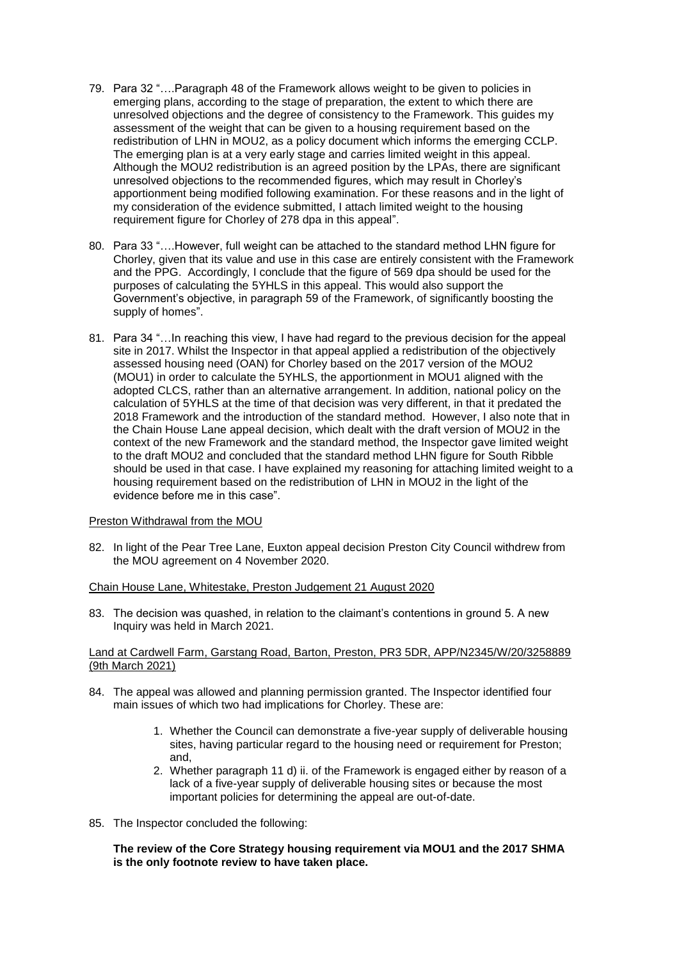- 79. Para 32 "….Paragraph 48 of the Framework allows weight to be given to policies in emerging plans, according to the stage of preparation, the extent to which there are unresolved objections and the degree of consistency to the Framework. This guides my assessment of the weight that can be given to a housing requirement based on the redistribution of LHN in MOU2, as a policy document which informs the emerging CCLP. The emerging plan is at a very early stage and carries limited weight in this appeal. Although the MOU2 redistribution is an agreed position by the LPAs, there are significant unresolved objections to the recommended figures, which may result in Chorley's apportionment being modified following examination. For these reasons and in the light of my consideration of the evidence submitted, I attach limited weight to the housing requirement figure for Chorley of 278 dpa in this appeal".
- 80. Para 33 "….However, full weight can be attached to the standard method LHN figure for Chorley, given that its value and use in this case are entirely consistent with the Framework and the PPG. Accordingly, I conclude that the figure of 569 dpa should be used for the purposes of calculating the 5YHLS in this appeal. This would also support the Government's objective, in paragraph 59 of the Framework, of significantly boosting the supply of homes".
- 81. Para 34 "…In reaching this view, I have had regard to the previous decision for the appeal site in 2017. Whilst the Inspector in that appeal applied a redistribution of the objectively assessed housing need (OAN) for Chorley based on the 2017 version of the MOU2 (MOU1) in order to calculate the 5YHLS, the apportionment in MOU1 aligned with the adopted CLCS, rather than an alternative arrangement. In addition, national policy on the calculation of 5YHLS at the time of that decision was very different, in that it predated the 2018 Framework and the introduction of the standard method. However, I also note that in the Chain House Lane appeal decision, which dealt with the draft version of MOU2 in the context of the new Framework and the standard method, the Inspector gave limited weight to the draft MOU2 and concluded that the standard method LHN figure for South Ribble should be used in that case. I have explained my reasoning for attaching limited weight to a housing requirement based on the redistribution of LHN in MOU2 in the light of the evidence before me in this case".

### Preston Withdrawal from the MOU

82. In light of the Pear Tree Lane, Euxton appeal decision Preston City Council withdrew from the MOU agreement on 4 November 2020.

# Chain House Lane, Whitestake, Preston Judgement 21 August 2020

83. The decision was quashed, in relation to the claimant's contentions in ground 5. A new Inquiry was held in March 2021.

### Land at Cardwell Farm, Garstang Road, Barton, Preston, PR3 5DR, APP/N2345/W/20/3258889 (9th March 2021)

- 84. The appeal was allowed and planning permission granted. The Inspector identified four main issues of which two had implications for Chorley. These are:
	- 1. Whether the Council can demonstrate a five-year supply of deliverable housing sites, having particular regard to the housing need or requirement for Preston; and,
	- 2. Whether paragraph 11 d) ii. of the Framework is engaged either by reason of a lack of a five-year supply of deliverable housing sites or because the most important policies for determining the appeal are out-of-date.
- 85. The Inspector concluded the following:

### **The review of the Core Strategy housing requirement via MOU1 and the 2017 SHMA is the only footnote review to have taken place.**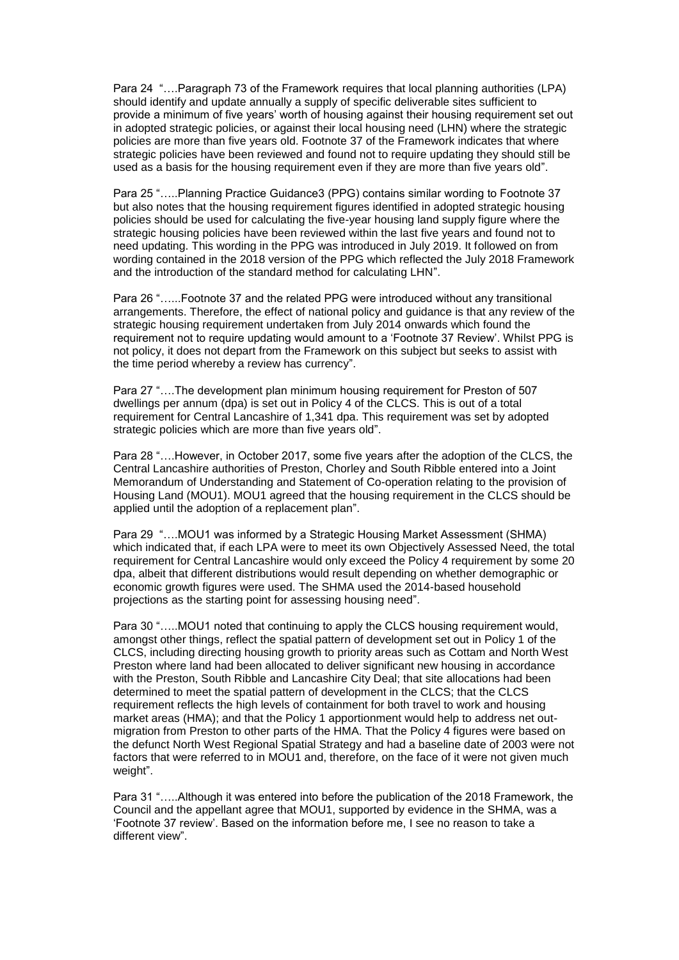Para 24 "….Paragraph 73 of the Framework requires that local planning authorities (LPA) should identify and update annually a supply of specific deliverable sites sufficient to provide a minimum of five years' worth of housing against their housing requirement set out in adopted strategic policies, or against their local housing need (LHN) where the strategic policies are more than five years old. Footnote 37 of the Framework indicates that where strategic policies have been reviewed and found not to require updating they should still be used as a basis for the housing requirement even if they are more than five years old".

Para 25 "…..Planning Practice Guidance3 (PPG) contains similar wording to Footnote 37 but also notes that the housing requirement figures identified in adopted strategic housing policies should be used for calculating the five-year housing land supply figure where the strategic housing policies have been reviewed within the last five years and found not to need updating. This wording in the PPG was introduced in July 2019. It followed on from wording contained in the 2018 version of the PPG which reflected the July 2018 Framework and the introduction of the standard method for calculating LHN".

Para 26 "…...Footnote 37 and the related PPG were introduced without any transitional arrangements. Therefore, the effect of national policy and guidance is that any review of the strategic housing requirement undertaken from July 2014 onwards which found the requirement not to require updating would amount to a 'Footnote 37 Review'. Whilst PPG is not policy, it does not depart from the Framework on this subject but seeks to assist with the time period whereby a review has currency".

Para 27 "….The development plan minimum housing requirement for Preston of 507 dwellings per annum (dpa) is set out in Policy 4 of the CLCS. This is out of a total requirement for Central Lancashire of 1,341 dpa. This requirement was set by adopted strategic policies which are more than five years old".

Para 28 "….However, in October 2017, some five years after the adoption of the CLCS, the Central Lancashire authorities of Preston, Chorley and South Ribble entered into a Joint Memorandum of Understanding and Statement of Co-operation relating to the provision of Housing Land (MOU1). MOU1 agreed that the housing requirement in the CLCS should be applied until the adoption of a replacement plan".

Para 29 "….MOU1 was informed by a Strategic Housing Market Assessment (SHMA) which indicated that, if each LPA were to meet its own Objectively Assessed Need, the total requirement for Central Lancashire would only exceed the Policy 4 requirement by some 20 dpa, albeit that different distributions would result depending on whether demographic or economic growth figures were used. The SHMA used the 2014-based household projections as the starting point for assessing housing need".

Para 30 ".....MOU1 noted that continuing to apply the CLCS housing requirement would, amongst other things, reflect the spatial pattern of development set out in Policy 1 of the CLCS, including directing housing growth to priority areas such as Cottam and North West Preston where land had been allocated to deliver significant new housing in accordance with the Preston, South Ribble and Lancashire City Deal; that site allocations had been determined to meet the spatial pattern of development in the CLCS; that the CLCS requirement reflects the high levels of containment for both travel to work and housing market areas (HMA); and that the Policy 1 apportionment would help to address net outmigration from Preston to other parts of the HMA. That the Policy 4 figures were based on the defunct North West Regional Spatial Strategy and had a baseline date of 2003 were not factors that were referred to in MOU1 and, therefore, on the face of it were not given much weight".

Para 31 "…..Although it was entered into before the publication of the 2018 Framework, the Council and the appellant agree that MOU1, supported by evidence in the SHMA, was a 'Footnote 37 review'. Based on the information before me, I see no reason to take a different view".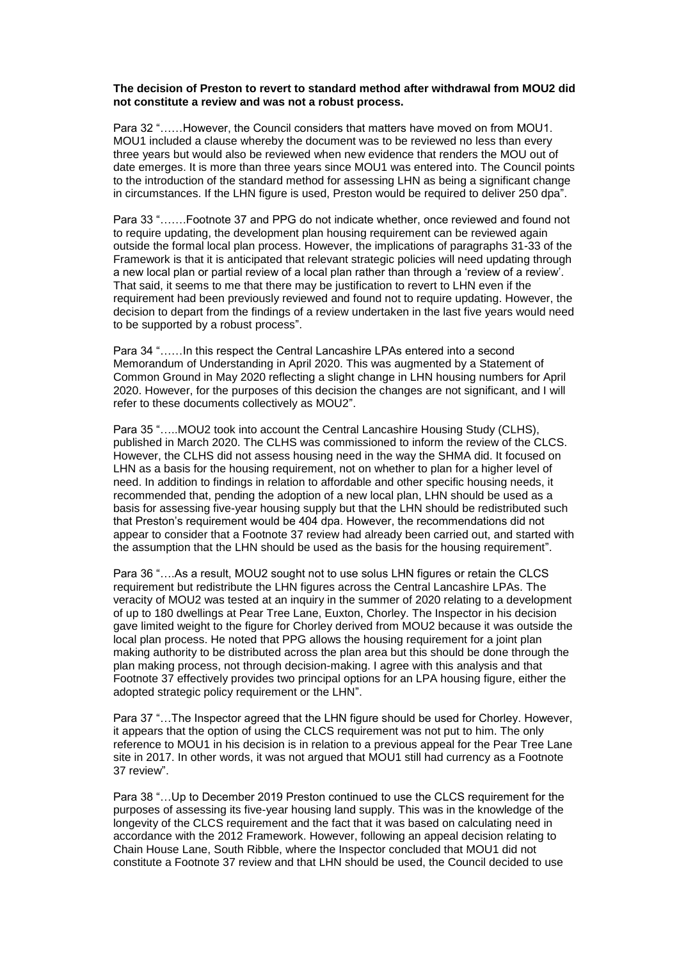### **The decision of Preston to revert to standard method after withdrawal from MOU2 did not constitute a review and was not a robust process.**

Para 32 "……However, the Council considers that matters have moved on from MOU1. MOU1 included a clause whereby the document was to be reviewed no less than every three years but would also be reviewed when new evidence that renders the MOU out of date emerges. It is more than three years since MOU1 was entered into. The Council points to the introduction of the standard method for assessing LHN as being a significant change in circumstances. If the LHN figure is used, Preston would be required to deliver 250 dpa".

Para 33 "…….Footnote 37 and PPG do not indicate whether, once reviewed and found not to require updating, the development plan housing requirement can be reviewed again outside the formal local plan process. However, the implications of paragraphs 31-33 of the Framework is that it is anticipated that relevant strategic policies will need updating through a new local plan or partial review of a local plan rather than through a 'review of a review'. That said, it seems to me that there may be justification to revert to LHN even if the requirement had been previously reviewed and found not to require updating. However, the decision to depart from the findings of a review undertaken in the last five years would need to be supported by a robust process".

Para 34 "……In this respect the Central Lancashire LPAs entered into a second Memorandum of Understanding in April 2020. This was augmented by a Statement of Common Ground in May 2020 reflecting a slight change in LHN housing numbers for April 2020. However, for the purposes of this decision the changes are not significant, and I will refer to these documents collectively as MOU2".

Para 35 "…..MOU2 took into account the Central Lancashire Housing Study (CLHS), published in March 2020. The CLHS was commissioned to inform the review of the CLCS. However, the CLHS did not assess housing need in the way the SHMA did. It focused on LHN as a basis for the housing requirement, not on whether to plan for a higher level of need. In addition to findings in relation to affordable and other specific housing needs, it recommended that, pending the adoption of a new local plan, LHN should be used as a basis for assessing five-year housing supply but that the LHN should be redistributed such that Preston's requirement would be 404 dpa. However, the recommendations did not appear to consider that a Footnote 37 review had already been carried out, and started with the assumption that the LHN should be used as the basis for the housing requirement".

Para 36 "….As a result, MOU2 sought not to use solus LHN figures or retain the CLCS requirement but redistribute the LHN figures across the Central Lancashire LPAs. The veracity of MOU2 was tested at an inquiry in the summer of 2020 relating to a development of up to 180 dwellings at Pear Tree Lane, Euxton, Chorley. The Inspector in his decision gave limited weight to the figure for Chorley derived from MOU2 because it was outside the local plan process. He noted that PPG allows the housing requirement for a joint plan making authority to be distributed across the plan area but this should be done through the plan making process, not through decision-making. I agree with this analysis and that Footnote 37 effectively provides two principal options for an LPA housing figure, either the adopted strategic policy requirement or the LHN".

Para 37 "…The Inspector agreed that the LHN figure should be used for Chorley. However, it appears that the option of using the CLCS requirement was not put to him. The only reference to MOU1 in his decision is in relation to a previous appeal for the Pear Tree Lane site in 2017. In other words, it was not argued that MOU1 still had currency as a Footnote 37 review".

Para 38 "…Up to December 2019 Preston continued to use the CLCS requirement for the purposes of assessing its five-year housing land supply. This was in the knowledge of the longevity of the CLCS requirement and the fact that it was based on calculating need in accordance with the 2012 Framework. However, following an appeal decision relating to Chain House Lane, South Ribble, where the Inspector concluded that MOU1 did not constitute a Footnote 37 review and that LHN should be used, the Council decided to use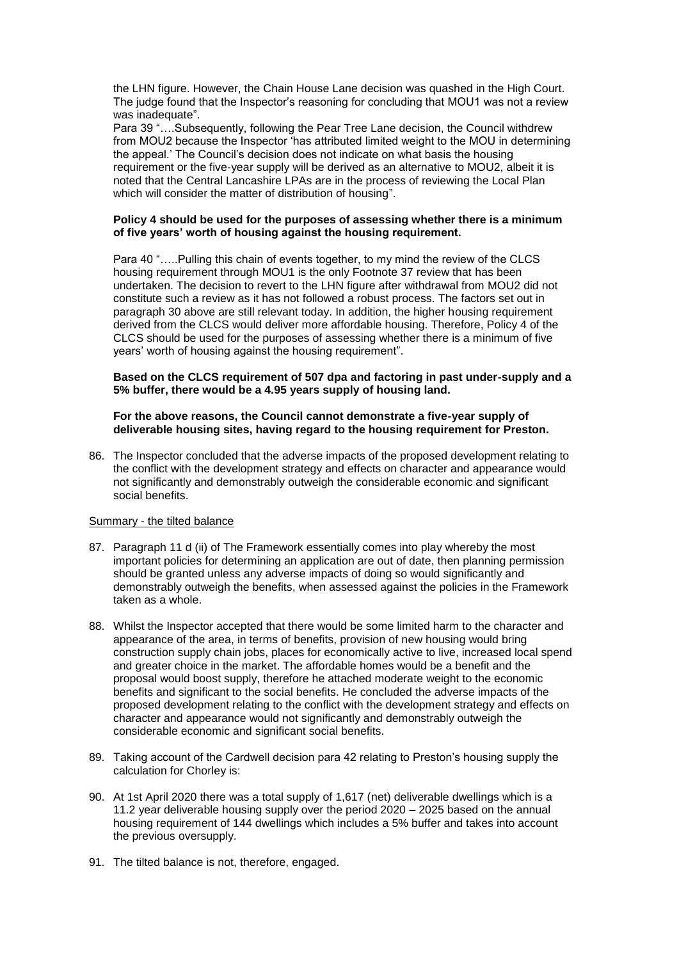the LHN figure. However, the Chain House Lane decision was quashed in the High Court. The judge found that the Inspector's reasoning for concluding that MOU1 was not a review was inadequate".

Para 39 "….Subsequently, following the Pear Tree Lane decision, the Council withdrew from MOU2 because the Inspector 'has attributed limited weight to the MOU in determining the appeal.' The Council's decision does not indicate on what basis the housing requirement or the five-year supply will be derived as an alternative to MOU2, albeit it is noted that the Central Lancashire LPAs are in the process of reviewing the Local Plan which will consider the matter of distribution of housing".

### **Policy 4 should be used for the purposes of assessing whether there is a minimum of five years' worth of housing against the housing requirement.**

Para 40 "…..Pulling this chain of events together, to my mind the review of the CLCS housing requirement through MOU1 is the only Footnote 37 review that has been undertaken. The decision to revert to the LHN figure after withdrawal from MOU2 did not constitute such a review as it has not followed a robust process. The factors set out in paragraph 30 above are still relevant today. In addition, the higher housing requirement derived from the CLCS would deliver more affordable housing. Therefore, Policy 4 of the CLCS should be used for the purposes of assessing whether there is a minimum of five years' worth of housing against the housing requirement".

### **Based on the CLCS requirement of 507 dpa and factoring in past under-supply and a 5% buffer, there would be a 4.95 years supply of housing land.**

### **For the above reasons, the Council cannot demonstrate a five-year supply of deliverable housing sites, having regard to the housing requirement for Preston.**

86. The Inspector concluded that the adverse impacts of the proposed development relating to the conflict with the development strategy and effects on character and appearance would not significantly and demonstrably outweigh the considerable economic and significant social benefits.

### Summary - the tilted balance

- 87. Paragraph 11 d (ii) of The Framework essentially comes into play whereby the most important policies for determining an application are out of date, then planning permission should be granted unless any adverse impacts of doing so would significantly and demonstrably outweigh the benefits, when assessed against the policies in the Framework taken as a whole.
- 88. Whilst the Inspector accepted that there would be some limited harm to the character and appearance of the area, in terms of benefits, provision of new housing would bring construction supply chain jobs, places for economically active to live, increased local spend and greater choice in the market. The affordable homes would be a benefit and the proposal would boost supply, therefore he attached moderate weight to the economic benefits and significant to the social benefits. He concluded the adverse impacts of the proposed development relating to the conflict with the development strategy and effects on character and appearance would not significantly and demonstrably outweigh the considerable economic and significant social benefits.
- 89. Taking account of the Cardwell decision para 42 relating to Preston's housing supply the calculation for Chorley is:
- 90. At 1st April 2020 there was a total supply of 1,617 (net) deliverable dwellings which is a 11.2 year deliverable housing supply over the period 2020 – 2025 based on the annual housing requirement of 144 dwellings which includes a 5% buffer and takes into account the previous oversupply.
- 91. The tilted balance is not, therefore, engaged.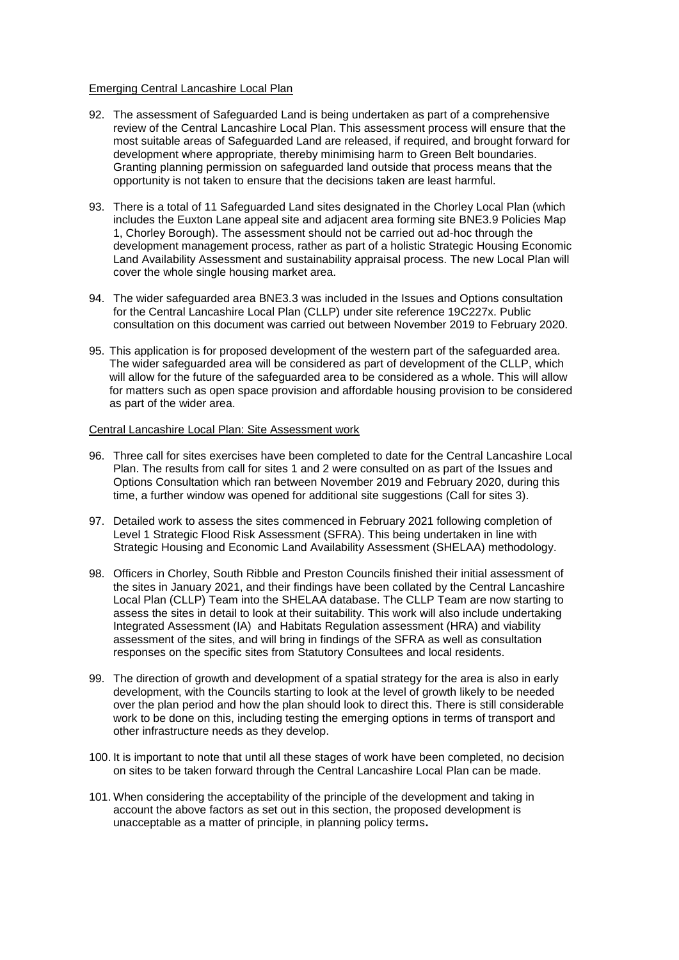### Emerging Central Lancashire Local Plan

- 92. The assessment of Safeguarded Land is being undertaken as part of a comprehensive review of the Central Lancashire Local Plan. This assessment process will ensure that the most suitable areas of Safeguarded Land are released, if required, and brought forward for development where appropriate, thereby minimising harm to Green Belt boundaries. Granting planning permission on safeguarded land outside that process means that the opportunity is not taken to ensure that the decisions taken are least harmful.
- 93. There is a total of 11 Safeguarded Land sites designated in the Chorley Local Plan (which includes the Euxton Lane appeal site and adjacent area forming site BNE3.9 Policies Map 1, Chorley Borough). The assessment should not be carried out ad-hoc through the development management process, rather as part of a holistic Strategic Housing Economic Land Availability Assessment and sustainability appraisal process. The new Local Plan will cover the whole single housing market area.
- 94. The wider safeguarded area BNE3.3 was included in the Issues and Options consultation for the Central Lancashire Local Plan (CLLP) under site reference 19C227x. Public consultation on this document was carried out between November 2019 to February 2020.
- 95. This application is for proposed development of the western part of the safeguarded area. The wider safeguarded area will be considered as part of development of the CLLP, which will allow for the future of the safeguarded area to be considered as a whole. This will allow for matters such as open space provision and affordable housing provision to be considered as part of the wider area.

## Central Lancashire Local Plan: Site Assessment work

- 96. Three call for sites exercises have been completed to date for the Central Lancashire Local Plan. The results from call for sites 1 and 2 were consulted on as part of the Issues and Options Consultation which ran between November 2019 and February 2020, during this time, a further window was opened for additional site suggestions (Call for sites 3).
- 97. Detailed work to assess the sites commenced in February 2021 following completion of Level 1 Strategic Flood Risk Assessment (SFRA). This being undertaken in line with Strategic Housing and Economic Land Availability Assessment (SHELAA) methodology.
- 98. Officers in Chorley, South Ribble and Preston Councils finished their initial assessment of the sites in January 2021, and their findings have been collated by the Central Lancashire Local Plan (CLLP) Team into the SHELAA database. The CLLP Team are now starting to assess the sites in detail to look at their suitability. This work will also include undertaking Integrated Assessment (IA) and Habitats Regulation assessment (HRA) and viability assessment of the sites, and will bring in findings of the SFRA as well as consultation responses on the specific sites from Statutory Consultees and local residents.
- 99. The direction of growth and development of a spatial strategy for the area is also in early development, with the Councils starting to look at the level of growth likely to be needed over the plan period and how the plan should look to direct this. There is still considerable work to be done on this, including testing the emerging options in terms of transport and other infrastructure needs as they develop.
- 100. It is important to note that until all these stages of work have been completed, no decision on sites to be taken forward through the Central Lancashire Local Plan can be made.
- 101. When considering the acceptability of the principle of the development and taking in account the above factors as set out in this section, the proposed development is unacceptable as a matter of principle, in planning policy terms**.**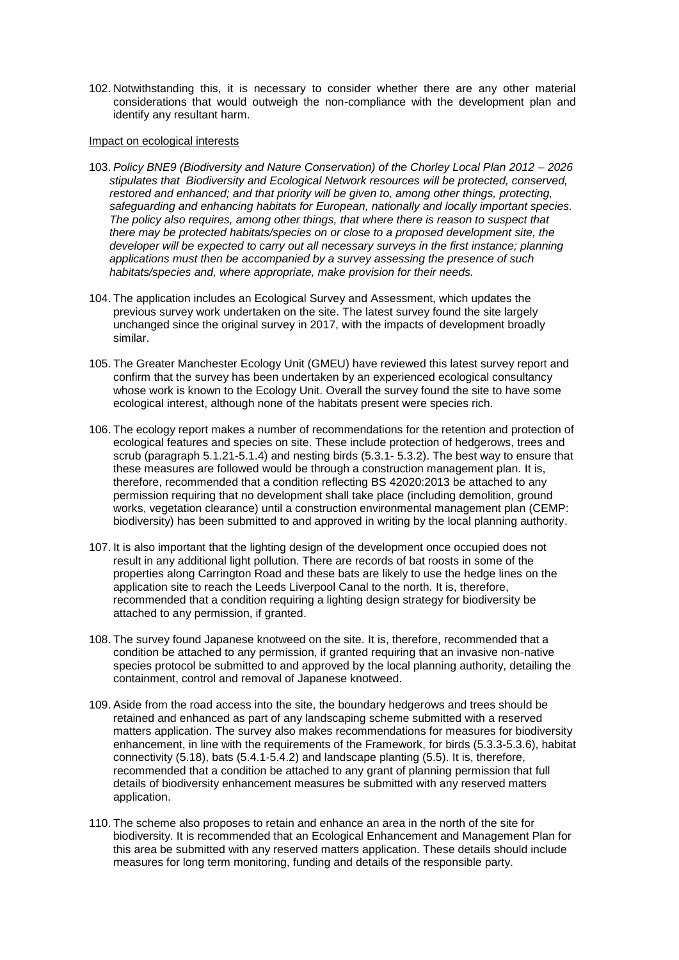102. Notwithstanding this, it is necessary to consider whether there are any other material considerations that would outweigh the non-compliance with the development plan and identify any resultant harm.

#### Impact on ecological interests

- 103. *Policy BNE9 (Biodiversity and Nature Conservation) of the Chorley Local Plan 2012 – 2026 stipulates that Biodiversity and Ecological Network resources will be protected, conserved, restored and enhanced; and that priority will be given to, among other things, protecting, safeguarding and enhancing habitats for European, nationally and locally important species. The policy also requires, among other things, that where there is reason to suspect that there may be protected habitats/species on or close to a proposed development site, the developer will be expected to carry out all necessary surveys in the first instance; planning applications must then be accompanied by a survey assessing the presence of such habitats/species and, where appropriate, make provision for their needs.*
- 104. The application includes an Ecological Survey and Assessment, which updates the previous survey work undertaken on the site. The latest survey found the site largely unchanged since the original survey in 2017, with the impacts of development broadly similar.
- 105. The Greater Manchester Ecology Unit (GMEU) have reviewed this latest survey report and confirm that the survey has been undertaken by an experienced ecological consultancy whose work is known to the Ecology Unit. Overall the survey found the site to have some ecological interest, although none of the habitats present were species rich.
- 106. The ecology report makes a number of recommendations for the retention and protection of ecological features and species on site. These include protection of hedgerows, trees and scrub (paragraph 5.1.21-5.1.4) and nesting birds (5.3.1- 5.3.2). The best way to ensure that these measures are followed would be through a construction management plan. It is, therefore, recommended that a condition reflecting BS 42020:2013 be attached to any permission requiring that no development shall take place (including demolition, ground works, vegetation clearance) until a construction environmental management plan (CEMP: biodiversity) has been submitted to and approved in writing by the local planning authority.
- 107. It is also important that the lighting design of the development once occupied does not result in any additional light pollution. There are records of bat roosts in some of the properties along Carrington Road and these bats are likely to use the hedge lines on the application site to reach the Leeds Liverpool Canal to the north. It is, therefore, recommended that a condition requiring a lighting design strategy for biodiversity be attached to any permission, if granted.
- 108. The survey found Japanese knotweed on the site. It is, therefore, recommended that a condition be attached to any permission, if granted requiring that an invasive non-native species protocol be submitted to and approved by the local planning authority, detailing the containment, control and removal of Japanese knotweed.
- 109. Aside from the road access into the site, the boundary hedgerows and trees should be retained and enhanced as part of any landscaping scheme submitted with a reserved matters application. The survey also makes recommendations for measures for biodiversity enhancement, in line with the requirements of the Framework, for birds (5.3.3-5.3.6), habitat connectivity (5.18), bats (5.4.1-5.4.2) and landscape planting (5.5). It is, therefore, recommended that a condition be attached to any grant of planning permission that full details of biodiversity enhancement measures be submitted with any reserved matters application.
- 110. The scheme also proposes to retain and enhance an area in the north of the site for biodiversity. It is recommended that an Ecological Enhancement and Management Plan for this area be submitted with any reserved matters application. These details should include measures for long term monitoring, funding and details of the responsible party.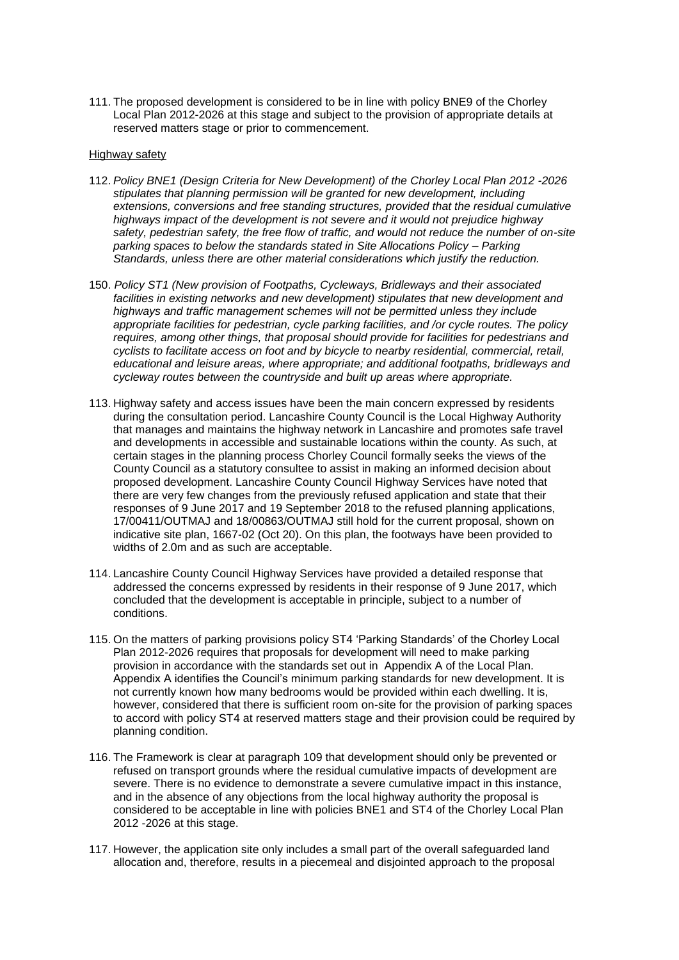111. The proposed development is considered to be in line with policy BNE9 of the Chorley Local Plan 2012-2026 at this stage and subject to the provision of appropriate details at reserved matters stage or prior to commencement.

#### Highway safety

- 112. *Policy BNE1 (Design Criteria for New Development) of the Chorley Local Plan 2012 -2026 stipulates that planning permission will be granted for new development, including extensions, conversions and free standing structures, provided that the residual cumulative highways impact of the development is not severe and it would not prejudice highway safety, pedestrian safety, the free flow of traffic, and would not reduce the number of on-site parking spaces to below the standards stated in Site Allocations Policy – Parking Standards, unless there are other material considerations which justify the reduction.*
- 150. *Policy ST1 (New provision of Footpaths, Cycleways, Bridleways and their associated facilities in existing networks and new development) stipulates that new development and highways and traffic management schemes will not be permitted unless they include appropriate facilities for pedestrian, cycle parking facilities, and /or cycle routes. The policy requires, among other things, that proposal should provide for facilities for pedestrians and cyclists to facilitate access on foot and by bicycle to nearby residential, commercial, retail, educational and leisure areas, where appropriate; and additional footpaths, bridleways and cycleway routes between the countryside and built up areas where appropriate.*
- 113. Highway safety and access issues have been the main concern expressed by residents during the consultation period. Lancashire County Council is the Local Highway Authority that manages and maintains the highway network in Lancashire and promotes safe travel and developments in accessible and sustainable locations within the county. As such, at certain stages in the planning process Chorley Council formally seeks the views of the County Council as a statutory consultee to assist in making an informed decision about proposed development. Lancashire County Council Highway Services have noted that there are very few changes from the previously refused application and state that their responses of 9 June 2017 and 19 September 2018 to the refused planning applications, 17/00411/OUTMAJ and 18/00863/OUTMAJ still hold for the current proposal, shown on indicative site plan, 1667-02 (Oct 20). On this plan, the footways have been provided to widths of 2.0m and as such are acceptable.
- 114. Lancashire County Council Highway Services have provided a detailed response that addressed the concerns expressed by residents in their response of 9 June 2017, which concluded that the development is acceptable in principle, subject to a number of conditions.
- 115. On the matters of parking provisions policy ST4 'Parking Standards' of the Chorley Local Plan 2012-2026 requires that proposals for development will need to make parking provision in accordance with the standards set out in Appendix A of the Local Plan. Appendix A identifies the Council's minimum parking standards for new development. It is not currently known how many bedrooms would be provided within each dwelling. It is, however, considered that there is sufficient room on-site for the provision of parking spaces to accord with policy ST4 at reserved matters stage and their provision could be required by planning condition.
- 116. The Framework is clear at paragraph 109 that development should only be prevented or refused on transport grounds where the residual cumulative impacts of development are severe. There is no evidence to demonstrate a severe cumulative impact in this instance, and in the absence of any objections from the local highway authority the proposal is considered to be acceptable in line with policies BNE1 and ST4 of the Chorley Local Plan 2012 -2026 at this stage.
- 117. However, the application site only includes a small part of the overall safeguarded land allocation and, therefore, results in a piecemeal and disjointed approach to the proposal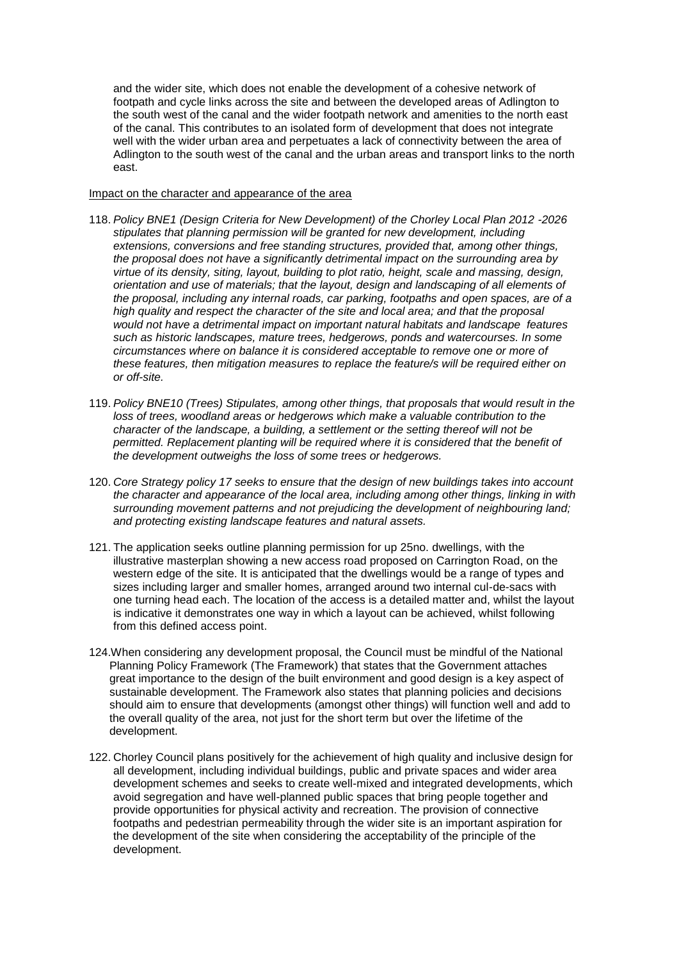and the wider site, which does not enable the development of a cohesive network of footpath and cycle links across the site and between the developed areas of Adlington to the south west of the canal and the wider footpath network and amenities to the north east of the canal. This contributes to an isolated form of development that does not integrate well with the wider urban area and perpetuates a lack of connectivity between the area of Adlington to the south west of the canal and the urban areas and transport links to the north east.

### Impact on the character and appearance of the area

- 118. *Policy BNE1 (Design Criteria for New Development) of the Chorley Local Plan 2012 -2026 stipulates that planning permission will be granted for new development, including extensions, conversions and free standing structures, provided that, among other things, the proposal does not have a significantly detrimental impact on the surrounding area by virtue of its density, siting, layout, building to plot ratio, height, scale and massing, design, orientation and use of materials; that the layout, design and landscaping of all elements of the proposal, including any internal roads, car parking, footpaths and open spaces, are of a high quality and respect the character of the site and local area; and that the proposal would not have a detrimental impact on important natural habitats and landscape features such as historic landscapes, mature trees, hedgerows, ponds and watercourses. In some circumstances where on balance it is considered acceptable to remove one or more of these features, then mitigation measures to replace the feature/s will be required either on or off-site.*
- 119. *Policy BNE10 (Trees) Stipulates, among other things, that proposals that would result in the loss of trees, woodland areas or hedgerows which make a valuable contribution to the character of the landscape, a building, a settlement or the setting thereof will not be permitted. Replacement planting will be required where it is considered that the benefit of the development outweighs the loss of some trees or hedgerows.*
- 120. *Core Strategy policy 17 seeks to ensure that the design of new buildings takes into account the character and appearance of the local area, including among other things, linking in with surrounding movement patterns and not prejudicing the development of neighbouring land; and protecting existing landscape features and natural assets.*
- 121. The application seeks outline planning permission for up 25no. dwellings, with the illustrative masterplan showing a new access road proposed on Carrington Road, on the western edge of the site. It is anticipated that the dwellings would be a range of types and sizes including larger and smaller homes, arranged around two internal cul-de-sacs with one turning head each. The location of the access is a detailed matter and, whilst the layout is indicative it demonstrates one way in which a layout can be achieved, whilst following from this defined access point.
- 124.When considering any development proposal, the Council must be mindful of the National Planning Policy Framework (The Framework) that states that the Government attaches great importance to the design of the built environment and good design is a key aspect of sustainable development. The Framework also states that planning policies and decisions should aim to ensure that developments (amongst other things) will function well and add to the overall quality of the area, not just for the short term but over the lifetime of the development.
- 122. Chorley Council plans positively for the achievement of high quality and inclusive design for all development, including individual buildings, public and private spaces and wider area development schemes and seeks to create well-mixed and integrated developments, which avoid segregation and have well-planned public spaces that bring people together and provide opportunities for physical activity and recreation. The provision of connective footpaths and pedestrian permeability through the wider site is an important aspiration for the development of the site when considering the acceptability of the principle of the development.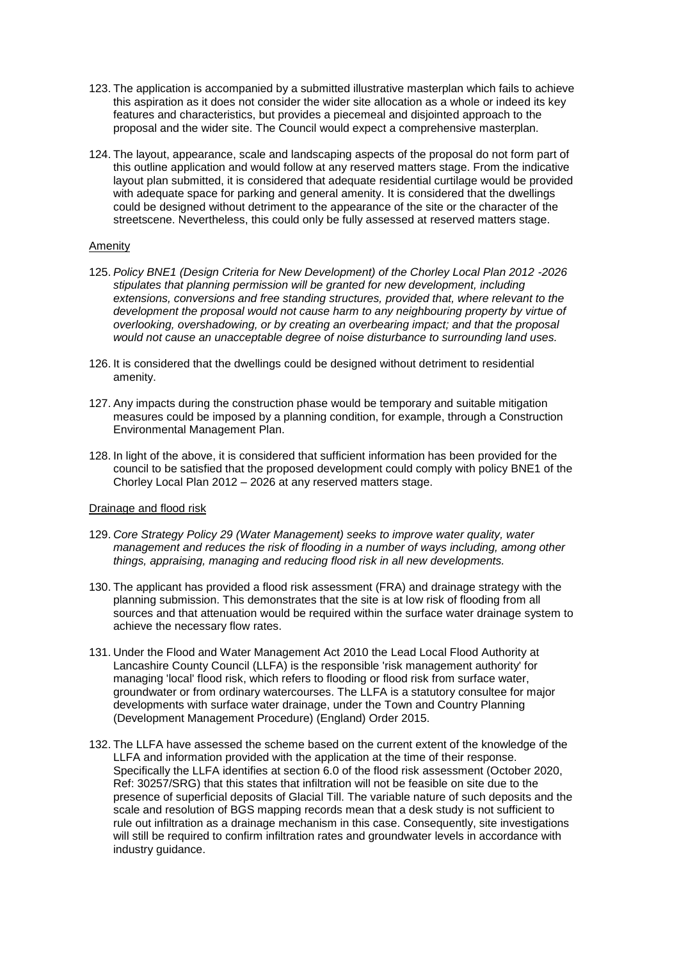- 123. The application is accompanied by a submitted illustrative masterplan which fails to achieve this aspiration as it does not consider the wider site allocation as a whole or indeed its key features and characteristics, but provides a piecemeal and disjointed approach to the proposal and the wider site. The Council would expect a comprehensive masterplan.
- 124. The layout, appearance, scale and landscaping aspects of the proposal do not form part of this outline application and would follow at any reserved matters stage. From the indicative layout plan submitted, it is considered that adequate residential curtilage would be provided with adequate space for parking and general amenity. It is considered that the dwellings could be designed without detriment to the appearance of the site or the character of the streetscene. Nevertheless, this could only be fully assessed at reserved matters stage.

### Amenity

- 125. *Policy BNE1 (Design Criteria for New Development) of the Chorley Local Plan 2012 -2026 stipulates that planning permission will be granted for new development, including extensions, conversions and free standing structures, provided that, where relevant to the development the proposal would not cause harm to any neighbouring property by virtue of overlooking, overshadowing, or by creating an overbearing impact; and that the proposal would not cause an unacceptable degree of noise disturbance to surrounding land uses.*
- 126. It is considered that the dwellings could be designed without detriment to residential amenity.
- 127. Any impacts during the construction phase would be temporary and suitable mitigation measures could be imposed by a planning condition, for example, through a Construction Environmental Management Plan.
- 128. In light of the above, it is considered that sufficient information has been provided for the council to be satisfied that the proposed development could comply with policy BNE1 of the Chorley Local Plan 2012 – 2026 at any reserved matters stage.

### Drainage and flood risk

- 129. *Core Strategy Policy 29 (Water Management) seeks to improve water quality, water management and reduces the risk of flooding in a number of ways including, among other things, appraising, managing and reducing flood risk in all new developments.*
- 130. The applicant has provided a flood risk assessment (FRA) and drainage strategy with the planning submission. This demonstrates that the site is at low risk of flooding from all sources and that attenuation would be required within the surface water drainage system to achieve the necessary flow rates.
- 131. Under the Flood and Water Management Act 2010 the Lead Local Flood Authority at Lancashire County Council (LLFA) is the responsible 'risk management authority' for managing 'local' flood risk, which refers to flooding or flood risk from surface water, groundwater or from ordinary watercourses. The LLFA is a statutory consultee for major developments with surface water drainage, under the Town and Country Planning (Development Management Procedure) (England) Order 2015.
- 132. The LLFA have assessed the scheme based on the current extent of the knowledge of the LLFA and information provided with the application at the time of their response. Specifically the LLFA identifies at section 6.0 of the flood risk assessment (October 2020, Ref: 30257/SRG) that this states that infiltration will not be feasible on site due to the presence of superficial deposits of Glacial Till. The variable nature of such deposits and the scale and resolution of BGS mapping records mean that a desk study is not sufficient to rule out infiltration as a drainage mechanism in this case. Consequently, site investigations will still be required to confirm infiltration rates and groundwater levels in accordance with industry guidance.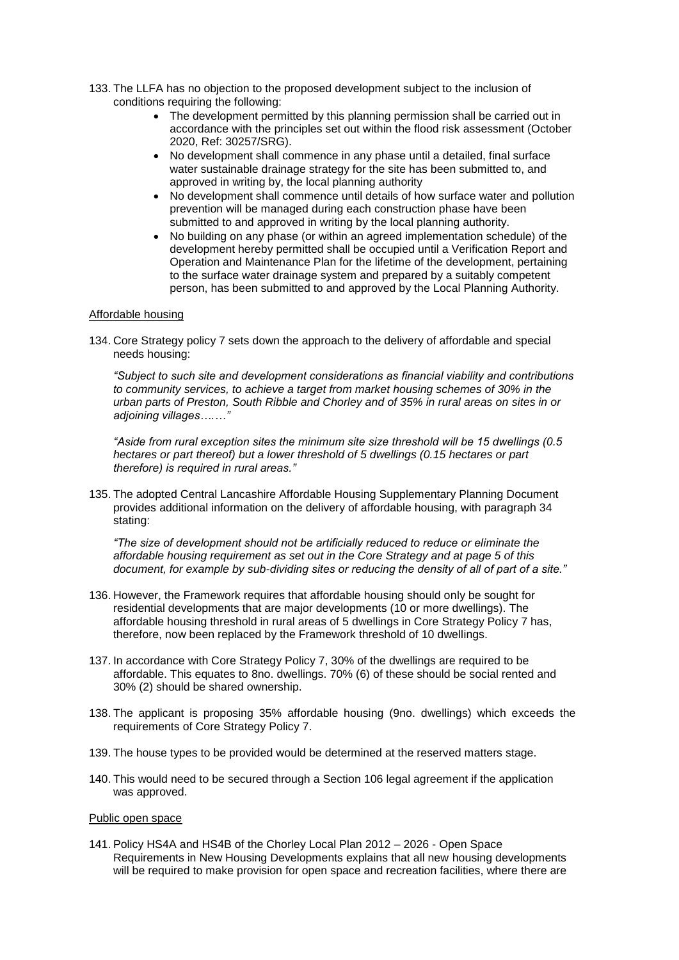- 133. The LLFA has no objection to the proposed development subject to the inclusion of conditions requiring the following:
	- The development permitted by this planning permission shall be carried out in accordance with the principles set out within the flood risk assessment (October 2020, Ref: 30257/SRG).
	- No development shall commence in any phase until a detailed, final surface water sustainable drainage strategy for the site has been submitted to, and approved in writing by, the local planning authority
	- No development shall commence until details of how surface water and pollution prevention will be managed during each construction phase have been submitted to and approved in writing by the local planning authority.
	- No building on any phase (or within an agreed implementation schedule) of the development hereby permitted shall be occupied until a Verification Report and Operation and Maintenance Plan for the lifetime of the development, pertaining to the surface water drainage system and prepared by a suitably competent person, has been submitted to and approved by the Local Planning Authority.

### Affordable housing

134. Core Strategy policy 7 sets down the approach to the delivery of affordable and special needs housing:

*"Subject to such site and development considerations as financial viability and contributions to community services, to achieve a target from market housing schemes of 30% in the urban parts of Preston, South Ribble and Chorley and of 35% in rural areas on sites in or adjoining villages….…"*

*"Aside from rural exception sites the minimum site size threshold will be 15 dwellings (0.5 hectares or part thereof) but a lower threshold of 5 dwellings (0.15 hectares or part therefore) is required in rural areas."*

135. The adopted Central Lancashire Affordable Housing Supplementary Planning Document provides additional information on the delivery of affordable housing, with paragraph 34 stating:

*"The size of development should not be artificially reduced to reduce or eliminate the affordable housing requirement as set out in the Core Strategy and at page 5 of this document, for example by sub-dividing sites or reducing the density of all of part of a site."*

- 136. However, the Framework requires that affordable housing should only be sought for residential developments that are major developments (10 or more dwellings). The affordable housing threshold in rural areas of 5 dwellings in Core Strategy Policy 7 has, therefore, now been replaced by the Framework threshold of 10 dwellings.
- 137. In accordance with Core Strategy Policy 7, 30% of the dwellings are required to be affordable. This equates to 8no. dwellings. 70% (6) of these should be social rented and 30% (2) should be shared ownership.
- 138. The applicant is proposing 35% affordable housing (9no. dwellings) which exceeds the requirements of Core Strategy Policy 7.
- 139. The house types to be provided would be determined at the reserved matters stage.
- 140. This would need to be secured through a Section 106 legal agreement if the application was approved.

### Public open space

141. Policy HS4A and HS4B of the Chorley Local Plan 2012 – 2026 - Open Space Requirements in New Housing Developments explains that all new housing developments will be required to make provision for open space and recreation facilities, where there are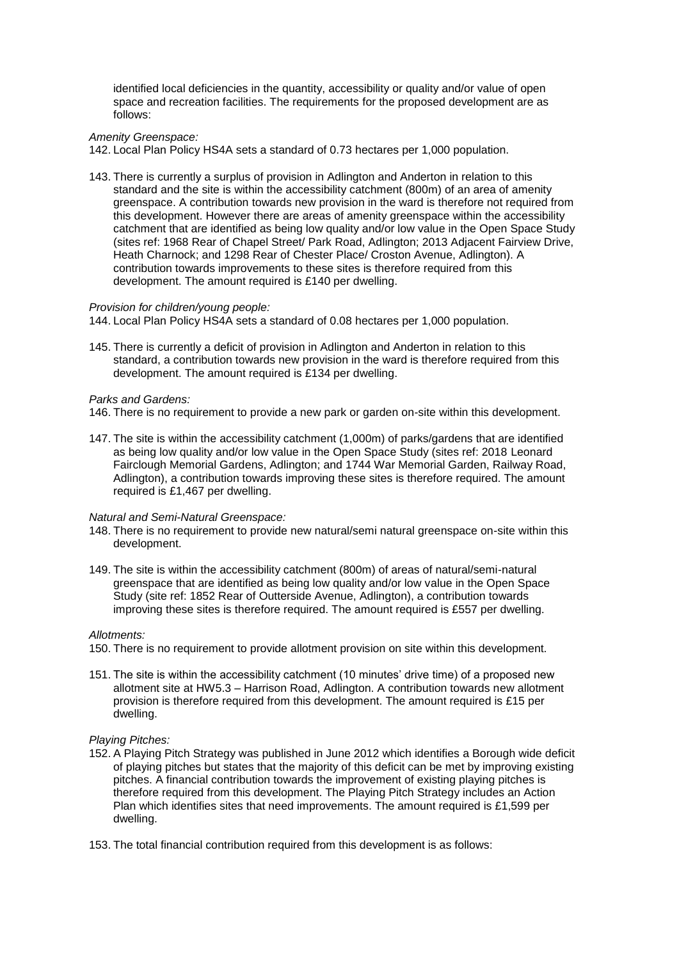identified local deficiencies in the quantity, accessibility or quality and/or value of open space and recreation facilities. The requirements for the proposed development are as follows:

*Amenity Greenspace:*

142. Local Plan Policy HS4A sets a standard of 0.73 hectares per 1,000 population.

143. There is currently a surplus of provision in Adlington and Anderton in relation to this standard and the site is within the accessibility catchment (800m) of an area of amenity greenspace. A contribution towards new provision in the ward is therefore not required from this development. However there are areas of amenity greenspace within the accessibility catchment that are identified as being low quality and/or low value in the Open Space Study (sites ref: 1968 Rear of Chapel Street/ Park Road, Adlington; 2013 Adjacent Fairview Drive, Heath Charnock; and 1298 Rear of Chester Place/ Croston Avenue, Adlington). A contribution towards improvements to these sites is therefore required from this development. The amount required is £140 per dwelling.

#### *Provision for children/young people:*

144. Local Plan Policy HS4A sets a standard of 0.08 hectares per 1,000 population.

145. There is currently a deficit of provision in Adlington and Anderton in relation to this standard, a contribution towards new provision in the ward is therefore required from this development. The amount required is £134 per dwelling.

#### *Parks and Gardens:*

146. There is no requirement to provide a new park or garden on-site within this development.

147. The site is within the accessibility catchment (1,000m) of parks/gardens that are identified as being low quality and/or low value in the Open Space Study (sites ref: 2018 Leonard Fairclough Memorial Gardens, Adlington; and 1744 War Memorial Garden, Railway Road, Adlington), a contribution towards improving these sites is therefore required. The amount required is £1,467 per dwelling.

#### *Natural and Semi-Natural Greenspace:*

- 148. There is no requirement to provide new natural/semi natural greenspace on-site within this development.
- 149. The site is within the accessibility catchment (800m) of areas of natural/semi-natural greenspace that are identified as being low quality and/or low value in the Open Space Study (site ref: 1852 Rear of Outterside Avenue, Adlington), a contribution towards improving these sites is therefore required. The amount required is £557 per dwelling.

#### *Allotments:*

- 150. There is no requirement to provide allotment provision on site within this development.
- 151. The site is within the accessibility catchment (10 minutes' drive time) of a proposed new allotment site at HW5.3 – Harrison Road, Adlington. A contribution towards new allotment provision is therefore required from this development. The amount required is £15 per dwelling.

#### *Playing Pitches:*

- 152. A Playing Pitch Strategy was published in June 2012 which identifies a Borough wide deficit of playing pitches but states that the majority of this deficit can be met by improving existing pitches. A financial contribution towards the improvement of existing playing pitches is therefore required from this development. The Playing Pitch Strategy includes an Action Plan which identifies sites that need improvements. The amount required is £1,599 per dwelling.
- 153. The total financial contribution required from this development is as follows: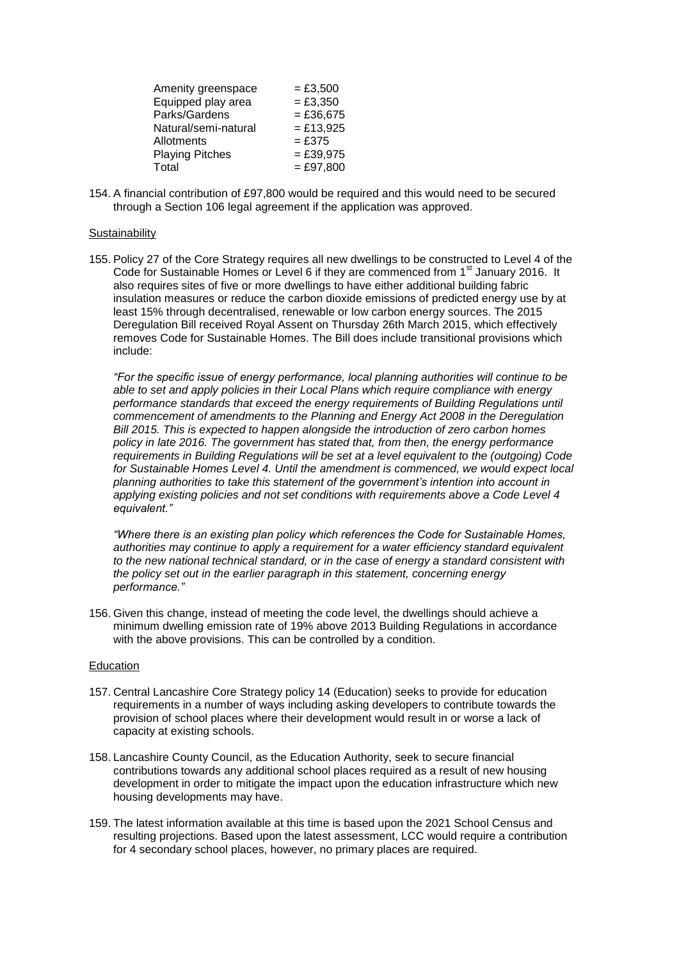| Amenity greenspace     | $= £3,500$  |
|------------------------|-------------|
| Equipped play area     | $= £3,350$  |
| Parks/Gardens          | $= £36,675$ |
| Natural/semi-natural   | $= £13,925$ |
| Allotments             | $=$ £375    |
| <b>Playing Pitches</b> | $= £39,975$ |
| Total                  | $= £97,800$ |

154. A financial contribution of £97,800 would be required and this would need to be secured through a Section 106 legal agreement if the application was approved.

#### **Sustainability**

155. Policy 27 of the Core Strategy requires all new dwellings to be constructed to Level 4 of the Code for Sustainable Homes or Level 6 if they are commenced from 1<sup>st</sup> January 2016. It also requires sites of five or more dwellings to have either additional building fabric insulation measures or reduce the carbon dioxide emissions of predicted energy use by at least 15% through decentralised, renewable or low carbon energy sources. The 2015 Deregulation Bill received Royal Assent on Thursday 26th March 2015, which effectively removes Code for Sustainable Homes. The Bill does include transitional provisions which include:

*"For the specific issue of energy performance, local planning authorities will continue to be able to set and apply policies in their Local Plans which require compliance with energy performance standards that exceed the energy requirements of Building Regulations until commencement of amendments to the [Planning and Energy Act 2008](http://www.legislation.gov.uk/ukpga/2008/21/contents) in the Deregulation Bill 2015. This is expected to happen alongside the introduction of zero carbon homes policy in late 2016. The government has stated that, from then, the energy performance requirements in Building Regulations will be set at a level equivalent to the (outgoing) Code for Sustainable Homes Level 4. Until the amendment is commenced, we would expect local planning authorities to take this statement of the government's intention into account in applying existing policies and not set conditions with requirements above a Code Level 4 equivalent."*

*"Where there is an existing plan policy which references the Code for Sustainable Homes, authorities may continue to apply a requirement for a water efficiency standard equivalent to the new national technical standard, or in the case of energy a standard consistent with the policy set out in the earlier paragraph in this statement, concerning energy performance."*

156. Given this change, instead of meeting the code level, the dwellings should achieve a minimum dwelling emission rate of 19% above 2013 Building Regulations in accordance with the above provisions. This can be controlled by a condition.

#### Education

- 157. Central Lancashire Core Strategy policy 14 (Education) seeks to provide for education requirements in a number of ways including asking developers to contribute towards the provision of school places where their development would result in or worse a lack of capacity at existing schools.
- 158. Lancashire County Council, as the Education Authority, seek to secure financial contributions towards any additional school places required as a result of new housing development in order to mitigate the impact upon the education infrastructure which new housing developments may have.
- 159. The latest information available at this time is based upon the 2021 School Census and resulting projections. Based upon the latest assessment, LCC would require a contribution for 4 secondary school places, however, no primary places are required.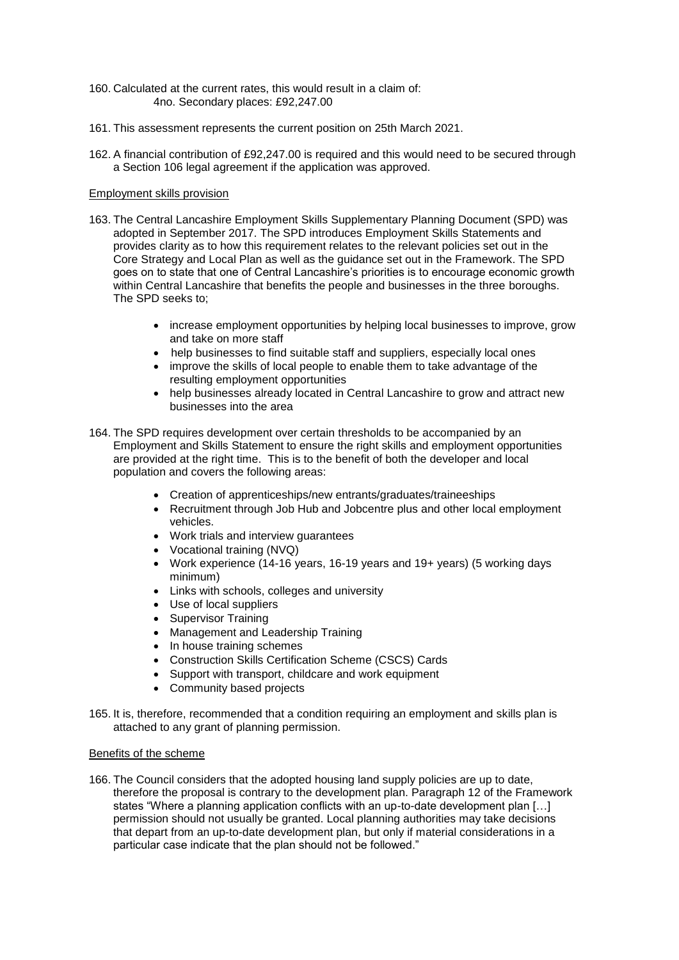- 160. Calculated at the current rates, this would result in a claim of: 4no. Secondary places: £92,247.00
- 161. This assessment represents the current position on 25th March 2021.
- 162. A financial contribution of £92,247.00 is required and this would need to be secured through a Section 106 legal agreement if the application was approved.

### Employment skills provision

- 163. The Central Lancashire Employment Skills Supplementary Planning Document (SPD) was adopted in September 2017. The SPD introduces Employment Skills Statements and provides clarity as to how this requirement relates to the relevant policies set out in the Core Strategy and Local Plan as well as the guidance set out in the Framework. The SPD goes on to state that one of Central Lancashire's priorities is to encourage economic growth within Central Lancashire that benefits the people and businesses in the three boroughs. The SPD seeks to;
	- increase employment opportunities by helping local businesses to improve, grow and take on more staff
	- help businesses to find suitable staff and suppliers, especially local ones
	- improve the skills of local people to enable them to take advantage of the resulting employment opportunities
	- help businesses already located in Central Lancashire to grow and attract new businesses into the area
- 164. The SPD requires development over certain thresholds to be accompanied by an Employment and Skills Statement to ensure the right skills and employment opportunities are provided at the right time. This is to the benefit of both the developer and local population and covers the following areas:
	- Creation of apprenticeships/new entrants/graduates/traineeships
	- Recruitment through Job Hub and Jobcentre plus and other local employment vehicles.
	- Work trials and interview guarantees
	- Vocational training (NVQ)
	- Work experience (14-16 years, 16-19 years and 19+ years) (5 working days minimum)
	- Links with schools, colleges and university
	- Use of local suppliers
	- Supervisor Training
	- Management and Leadership Training
	- In house training schemes
	- Construction Skills Certification Scheme (CSCS) Cards
	- Support with transport, childcare and work equipment
	- Community based projects
- 165. It is, therefore, recommended that a condition requiring an employment and skills plan is attached to any grant of planning permission.

### Benefits of the scheme

166. The Council considers that the adopted housing land supply policies are up to date, therefore the proposal is contrary to the development plan. Paragraph 12 of the Framework states "Where a planning application conflicts with an up-to-date development plan […] permission should not usually be granted. Local planning authorities may take decisions that depart from an up-to-date development plan, but only if material considerations in a particular case indicate that the plan should not be followed."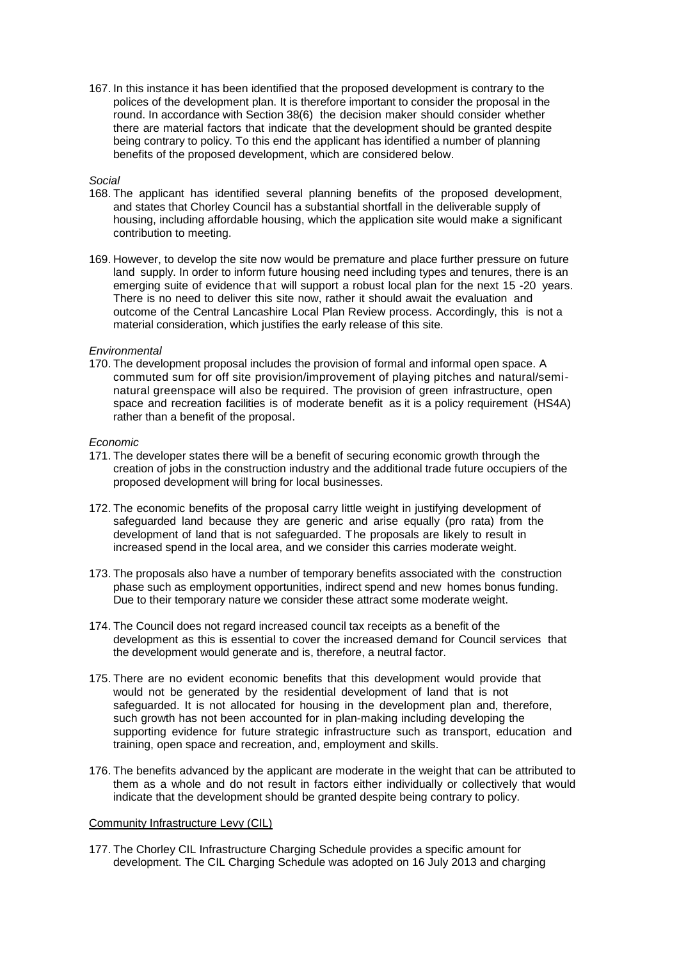167. In this instance it has been identified that the proposed development is contrary to the polices of the development plan. It is therefore important to consider the proposal in the round. In accordance with Section 38(6) the decision maker should consider whether there are material factors that indicate that the development should be granted despite being contrary to policy. To this end the applicant has identified a number of planning benefits of the proposed development, which are considered below.

### *Social*

- 168. The applicant has identified several planning benefits of the proposed development, and states that Chorley Council has a substantial shortfall in the deliverable supply of housing, including affordable housing, which the application site would make a significant contribution to meeting.
- 169. However, to develop the site now would be premature and place further pressure on future land supply. In order to inform future housing need including types and tenures, there is an emerging suite of evidence that will support a robust local plan for the next 15 -20 years. There is no need to deliver this site now, rather it should await the evaluation and outcome of the Central Lancashire Local Plan Review process. Accordingly, this is not a material consideration, which justifies the early release of this site.

### *Environmental*

170. The development proposal includes the provision of formal and informal open space. A commuted sum for off site provision/improvement of playing pitches and natural/seminatural greenspace will also be required. The provision of green infrastructure, open space and recreation facilities is of moderate benefit as it is a policy requirement (HS4A) rather than a benefit of the proposal.

#### *Economic*

- 171. The developer states there will be a benefit of securing economic growth through the creation of jobs in the construction industry and the additional trade future occupiers of the proposed development will bring for local businesses.
- 172. The economic benefits of the proposal carry little weight in justifying development of safeguarded land because they are generic and arise equally (pro rata) from the development of land that is not safeguarded. The proposals are likely to result in increased spend in the local area, and we consider this carries moderate weight.
- 173. The proposals also have a number of temporary benefits associated with the construction phase such as employment opportunities, indirect spend and new homes bonus funding. Due to their temporary nature we consider these attract some moderate weight.
- 174. The Council does not regard increased council tax receipts as a benefit of the development as this is essential to cover the increased demand for Council services that the development would generate and is, therefore, a neutral factor.
- 175. There are no evident economic benefits that this development would provide that would not be generated by the residential development of land that is not safeguarded. It is not allocated for housing in the development plan and, therefore, such growth has not been accounted for in plan-making including developing the supporting evidence for future strategic infrastructure such as transport, education and training, open space and recreation, and, employment and skills.
- 176. The benefits advanced by the applicant are moderate in the weight that can be attributed to them as a whole and do not result in factors either individually or collectively that would indicate that the development should be granted despite being contrary to policy.

# Community Infrastructure Levy (CIL)

177. The Chorley CIL Infrastructure Charging Schedule provides a specific amount for development. The CIL Charging Schedule was adopted on 16 July 2013 and charging